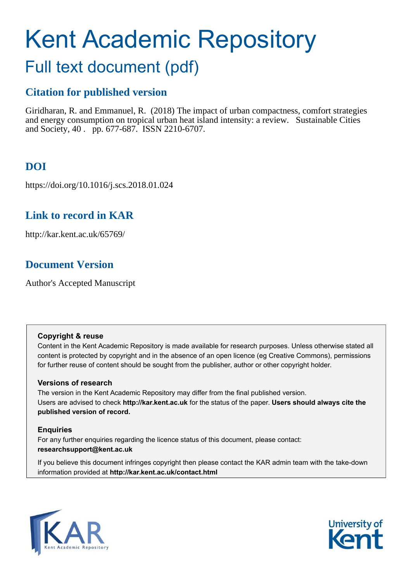# Kent Academic Repository

## Full text document (pdf)

## **Citation for published version**

Giridharan, R. and Emmanuel, R. (2018) The impact of urban compactness, comfort strategies and energy consumption on tropical urban heat island intensity: a review. Sustainable Cities and Society, 40 . pp. 677-687. ISSN 2210-6707.

## **DOI**

https://doi.org/10.1016/j.scs.2018.01.024

## **Link to record in KAR**

http://kar.kent.ac.uk/65769/

## **Document Version**

Author's Accepted Manuscript

#### **Copyright & reuse**

Content in the Kent Academic Repository is made available for research purposes. Unless otherwise stated all content is protected by copyright and in the absence of an open licence (eg Creative Commons), permissions for further reuse of content should be sought from the publisher, author or other copyright holder.

#### **Versions of research**

The version in the Kent Academic Repository may differ from the final published version. Users are advised to check **http://kar.kent.ac.uk** for the status of the paper. **Users should always cite the published version of record.**

#### **Enquiries**

For any further enquiries regarding the licence status of this document, please contact: **researchsupport@kent.ac.uk**

If you believe this document infringes copyright then please contact the KAR admin team with the take-down information provided at **http://kar.kent.ac.uk/contact.html**



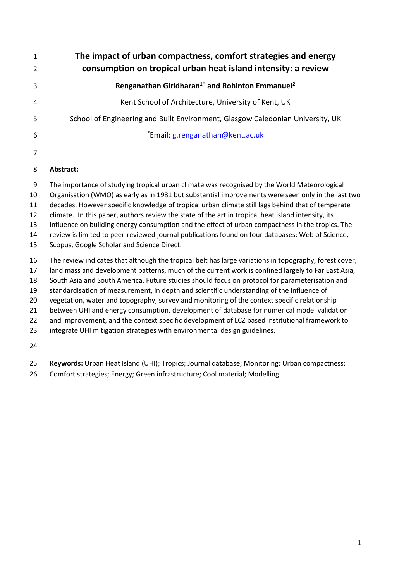| $\mathbf{1}$                                 | The impact of urban compactness, comfort strategies and energy                                                                                                                                                                                                                                                                                                                                                                                                                                                                                                                                                                                                                                                                                                                          |
|----------------------------------------------|-----------------------------------------------------------------------------------------------------------------------------------------------------------------------------------------------------------------------------------------------------------------------------------------------------------------------------------------------------------------------------------------------------------------------------------------------------------------------------------------------------------------------------------------------------------------------------------------------------------------------------------------------------------------------------------------------------------------------------------------------------------------------------------------|
| 2                                            | consumption on tropical urban heat island intensity: a review                                                                                                                                                                                                                                                                                                                                                                                                                                                                                                                                                                                                                                                                                                                           |
| 3                                            | Renganathan Giridharan <sup>1*</sup> and Rohinton Emmanuel <sup>2</sup>                                                                                                                                                                                                                                                                                                                                                                                                                                                                                                                                                                                                                                                                                                                 |
| 4                                            | Kent School of Architecture, University of Kent, UK                                                                                                                                                                                                                                                                                                                                                                                                                                                                                                                                                                                                                                                                                                                                     |
| 5                                            | School of Engineering and Built Environment, Glasgow Caledonian University, UK                                                                                                                                                                                                                                                                                                                                                                                                                                                                                                                                                                                                                                                                                                          |
| 6                                            | *Email: g.renganathan@kent.ac.uk                                                                                                                                                                                                                                                                                                                                                                                                                                                                                                                                                                                                                                                                                                                                                        |
| $\overline{7}$                               |                                                                                                                                                                                                                                                                                                                                                                                                                                                                                                                                                                                                                                                                                                                                                                                         |
| 8                                            | Abstract:                                                                                                                                                                                                                                                                                                                                                                                                                                                                                                                                                                                                                                                                                                                                                                               |
| 9<br>10<br>11<br>12<br>13<br>14<br>15        | The importance of studying tropical urban climate was recognised by the World Meteorological<br>Organisation (WMO) as early as in 1981 but substantial improvements were seen only in the last two<br>decades. However specific knowledge of tropical urban climate still lags behind that of temperate<br>climate. In this paper, authors review the state of the art in tropical heat island intensity, its<br>influence on building energy consumption and the effect of urban compactness in the tropics. The<br>review is limited to peer-reviewed journal publications found on four databases: Web of Science,<br>Scopus, Google Scholar and Science Direct.                                                                                                                     |
| 16<br>17<br>18<br>19<br>20<br>21<br>22<br>23 | The review indicates that although the tropical belt has large variations in topography, forest cover,<br>land mass and development patterns, much of the current work is confined largely to Far East Asia,<br>South Asia and South America. Future studies should focus on protocol for parameterisation and<br>standardisation of measurement, in depth and scientific understanding of the influence of<br>vegetation, water and topography, survey and monitoring of the context specific relationship<br>between UHI and energy consumption, development of database for numerical model validation<br>and improvement, and the context specific development of LCZ based institutional framework to<br>integrate UHI mitigation strategies with environmental design guidelines. |

- **Keywords:** Urban Heat Island (UHI); Tropics; Journal database; Monitoring; Urban compactness;
- Comfort strategies; Energy; Green infrastructure; Cool material; Modelling.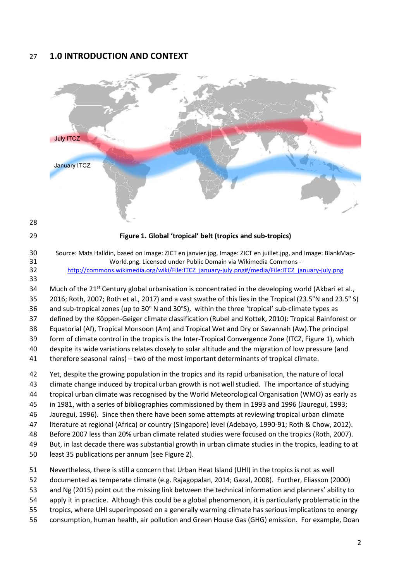#### **1.0 INTRODUCTION AND CONTEXT**



**Figure 1. Global ëtropicalí belt (tropics and sub-tropics)**

 Source: Mats Halldin, based on Image: ZICT en janvier.jpg, Image: ZICT en juillet.jpg, and Image: BlankMap- World.png. Licensed under Public Domain via Wikimedia Commons - [http://commons.wikimedia.org/wiki/File:ITCZ\\_january-july.png#/media/File:ITCZ\\_january-july.png](http://commons.wikimedia.org/wiki/File:ITCZ_january-july.png#/media/File:ITCZ_january-july.png)

34 Much of the  $21^{st}$  Century global urbanisation is concentrated in the developing world (Akbari et al., 2016; Roth, 2007; Roth et al., 2017) and a vast swathe of this lies in the Tropical (23.5°N and 23.5° S) 36 and sub-tropical zones (up to  $30^{\circ}$  N and  $30^{\circ}$ S), within the three 'tropical' sub-climate types as 37 defined by the Köppen-Geiger climate classification (Rubel and Kottek, 2010): Tropical Rainforest or Equatorial (Af), Tropical Monsoon (Am) and Tropical Wet and Dry or Savannah (Aw).The principal form of climate control in the tropics is the Inter-Tropical Convergence Zone (ITCZ, Figure 1), which

despite its wide variations relates closely to solar altitude and the migration of low pressure (and

41 therefore seasonal rains) – two of the most important determinants of tropical climate.

 Yet, despite the growing population in the tropics and its rapid urbanisation, the nature of local climate change induced by tropical urban growth is not well studied. The importance of studying tropical urban climate was recognised by the World Meteorological Organisation (WMO) as early as

in 1981, with a series of bibliographies commissioned by them in 1993 and 1996 (Jauregui, 1993;

Jauregui, 1996). Since then there have been some attempts at reviewing tropical urban climate

- literature at regional (Africa) or country (Singapore) level (Adebayo, 1990-91; Roth & Chow, 2012).
- Before 2007 less than 20% urban climate related studies were focused on the tropics (Roth, 2007).
- But, in last decade there was substantial growth in urban climate studies in the tropics, leading to at
- least 35 publications per annum (see Figure 2).
- Nevertheless, there is still a concern that Urban Heat Island (UHI) in the tropics is not as well
- documented as temperate climate (e.g. Rajagopalan, 2014; Gazal, 2008). Further, Eliasson (2000)
- and Ng (2015) point out the missing link between the technical information and plannersí ability to
- apply it in practice. Although this could be a global phenomenon, it is particularly problematic in the
- tropics, where UHI superimposed on a generally warming climate has serious implications to energy
- consumption, human health, air pollution and Green House Gas (GHG) emission. For example, Doan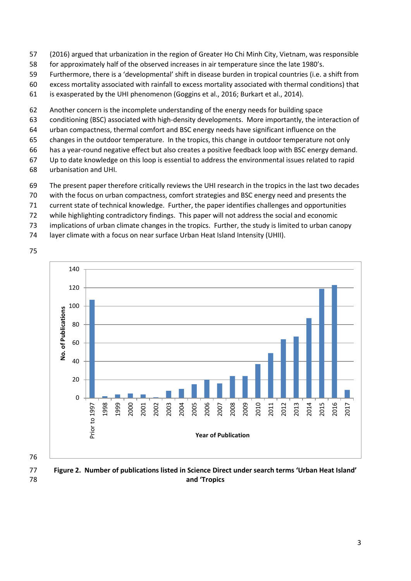- (2016) argued that urbanization in the region of Greater Ho Chi Minh City, Vietnam, was responsible
- for approximately half of the observed increases in air temperature since the late 1980ís.
- Furthermore, there is a ëdevelopmentalí shift in disease burden in tropical countries (i.e. a shift from
- excess mortality associated with rainfall to excess mortality associated with thermal conditions) that
- is exasperated by the UHI phenomenon (Goggins et al., 2016; Burkart et al., 2014).
- Another concern is the incomplete understanding of the energy needs for building space
- conditioning (BSC) associated with high-density developments. More importantly, the interaction of
- urban compactness, thermal comfort and BSC energy needs have significant influence on the
- changes in the outdoor temperature. In the tropics, this change in outdoor temperature not only
- has a year-round negative effect but also creates a positive feedback loop with BSC energy demand.
- Up to date knowledge on this loop is essential to address the environmental issues related to rapid urbanisation and UHI.
- The present paper therefore critically reviews the UHI research in the tropics in the last two decades
- with the focus on urban compactness, comfort strategies and BSC energy need and presents the
- current state of technical knowledge. Further, the paper identifies challenges and opportunities
- while highlighting contradictory findings. This paper will not address the social and economic
- implications of urban climate changes in the tropics. Further, the study is limited to urban canopy
- layer climate with a focus on near surface Urban Heat Island Intensity (UHII).





 **Figure 2. Number of publications listed in Science Direct under search terms ëUrban Heat Islandí and ëTropics**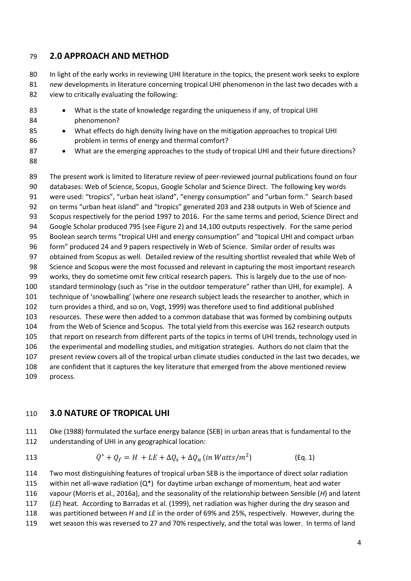#### **2.0 APPROACH AND METHOD**

80 In light of the early works in reviewing UHI literature in the topics, the present work seeks to explore *new* developments in literature concerning tropical UHI phenomenon in the last two decades with a view to critically evaluating the following:

- 83 What is the state of knowledge regarding the uniqueness if any, of tropical UHI phenomenon?
- 85 What effects do high density living have on the mitigation approaches to tropical UHI problem in terms of energy and thermal comfort?
- 87 What are the emerging approaches to the study of tropical UHI and their future directions?
- 

 The present work is limited to literature review of peer-reviewed journal publications found on four databases: Web of Science, Scopus, Google Scholar and Science Direct. The following key words 91 were used: "tropics", "urban heat island", "energy consumption" and "urban form." Search based 92 on terms "urban heat island" and "tropics" generated 203 and 238 outputs in Web of Science and Scopus respectively for the period 1997 to 2016. For the same terms and period, Science Direct and Google Scholar produced 795 (see Figure 2) and 14,100 outputs respectively. For the same period 95 Boolean search terms "tropical UHI and energy consumption" and "topical UHI and compact urban formî produced 24 and 9 papers respectively in Web of Science. Similar order of results was obtained from Scopus as well. Detailed review of the resulting shortlist revealed that while Web of Science and Scopus were the most focussed and relevant in capturing the most important research works, they do sometime omit few critical research papers. This is largely due to the use of non-100 standard terminology (such as "rise in the outdoor temperature" rather than UHI, for example). A 101 technique of 'snowballing' (where one research subject leads the researcher to another, which in turn provides a third, and so on, Vogt, 1999) was therefore used to find additional published resources. These were then added to a common database that was formed by combining outputs from the Web of Science and Scopus. The total yield from this exercise was 162 research outputs that report on research from different parts of the topics in terms of UHI trends, technology used in the experimental and modelling studies, and mitigation strategies. Authors do not claim that the present review covers all of the tropical urban climate studies conducted in the last two decades, we are confident that it captures the key literature that emerged from the above mentioned review process.

#### **3.0 NATURE OF TROPICAL UHI**

 Oke (1988) formulated the surface energy balance (SEB) in urban areas that is fundamental to the understanding of UHI in any geographical location:

113  $Q^* + Q_f = H + LE + \Delta Q_s + \Delta Q_a$  (in Watts/m<sup>2</sup>) (Eq. 1)

 Two most distinguishing features of tropical urban SEB is the importance of direct solar radiation 115 within net all-wave radiation  $(Q^*)$  for daytime urban exchange of momentum, heat and water vapour (Morris et al., 2016a), and the seasonality of the relationship between Sensible (*H*) and latent (*LE*) heat. According to Barradas et al. (1999), net radiation was higher during the dry season and was partitioned between *H* and *LE* in the order of 69% and 25%, respectively. However, during the wet season this was reversed to 27 and 70% respectively, and the total was lower. In terms of land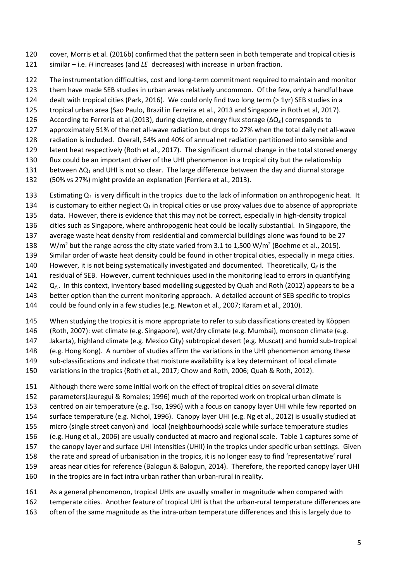cover, Morris et al. (2016b) confirmed that the pattern seen in both temperate and tropical cities is 121 similar – i.e. *H* increases (and *LE* decreases) with increase in urban fraction.

The instrumentation difficulties, cost and long-term commitment required to maintain and monitor

them have made SEB studies in urban areas relatively uncommon. Of the few, only a handful have

dealt with tropical cities (Park, 2016). We could only find two long term (> 1yr) SEB studies in a

 tropical urban area (Sao Paulo, Brazil in Ferreira et al., 2013 and Singapore in Roth et al, 2017). 126 According to Ferreria et al. (2013), during daytime, energy flux storage ( $\Delta Q_s$ ) corresponds to

- approximately 51% of the net all-wave radiation but drops to 27% when the total daily net all-wave
- radiation is included. Overall, 54% and 40% of annual net radiation partitioned into sensible and
- latent heat respectively (Roth et al., 2017). The significant diurnal change in the total stored energy
- flux could be an important driver of the UHI phenomenon in a tropical city but the relationship
- between  $\Delta Q_s$  and UHI is not so clear. The large difference between the day and diurnal storage
- (50% vs 27%) might provide an explanation (Ferriera et al., 2013).

133 Estimating  $Q_f$  is very difficult in the tropics due to the lack of information on anthropogenic heat. It

- 134 is customary to either neglect  $Q_f$  in tropical cities or use proxy values due to absence of appropriate data. However, there is evidence that this may not be correct, especially in high-density tropical
- cities such as Singapore, where anthropogenic heat could be locally substantial. In Singapore, the
- average waste heat density from residential and commercial buildings alone was found to be 27
- 138 W/m<sup>2</sup> but the range across the city state varied from 3.1 to 1,500 W/m<sup>2</sup> (Boehme et al., 2015).
- Similar order of waste heat density could be found in other tropical cities, especially in mega cities.
- 140 However, it is not being systematically investigated and documented. Theoretically,  $Q_f$  is the
- residual of SEB. However, current techniques used in the monitoring lead to errors in quantifying
- 142  $Q_f$ . In this context, inventory based modelling suggested by Quah and Roth (2012) appears to be a
- better option than the current monitoring approach. A detailed account of SEB specific to tropics
- could be found only in a few studies (e.g. Newton et al., 2007; Karam et al., 2010).
- 145 When studying the tropics it is more appropriate to refer to sub classifications created by Köppen
- (Roth, 2007): wet climate (e.g. Singapore), wet/dry climate (e.g. Mumbai), monsoon climate (e.g.
- Jakarta), highland climate (e.g. Mexico City) subtropical desert (e.g. Muscat) and humid sub-tropical (e.g. Hong Kong). A number of studies affirm the variations in the UHI phenomenon among these
- sub-classifications and indicate that moisture availability is a key determinant of local climate
- variations in the tropics (Roth et al., 2017; Chow and Roth, 2006; Quah & Roth, 2012).
- Although there were some initial work on the effect of tropical cities on several climate
- parameters(Jauregui & Romales; 1996) much of the reported work on tropical urban climate is
- centred on air temperature (e.g. Tso, 1996) with a focus on canopy layer UHI while few reported on
- surface temperature (e.g. Nichol, 1996). Canopy layer UHI (e.g. Ng et al., 2012) is usually studied at
- micro (single street canyon) and local (neighbourhoods) scale while surface temperature studies
- (e.g. Hung et al., 2006) are usually conducted at macro and regional scale. Table 1 captures some of
- the canopy layer and surface UHI intensities (UHII) in the tropics under specific urban settings. Given
- 158 the rate and spread of urbanisation in the tropics, it is no longer easy to find 'representative' rural
- areas near cities for reference (Balogun & Balogun, 2014). Therefore, the reported canopy layer UHI
- in the tropics are in fact intra urban rather than urban-rural in reality.
- As a general phenomenon, tropical UHIs are usually smaller in magnitude when compared with
- temperate cities. Another feature of tropical UHI is that the urban-rural temperature differences are
- often of the same magnitude as the intra-urban temperature differences and this is largely due to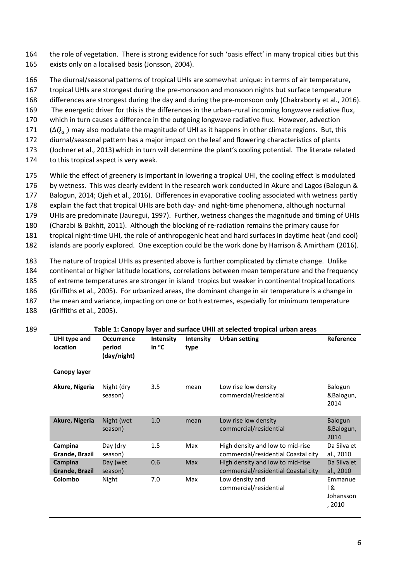164 the role of vegetation. There is strong evidence for such 'oasis effect' in many tropical cities but this 165 exists only on a localised basis (Jonsson, 2004).

- 166 The diurnal/seasonal patterns of tropical UHIs are somewhat unique: in terms of air temperature,
- 167 tropical UHIs are strongest during the pre-monsoon and monsoon nights but surface temperature
- 168 differences are strongest during the day and during the pre-monsoon only (Chakraborty et al., 2016).
- 169 The energetic driver for this is the differences in the urban-rural incoming longwave radiative flux,
- 170 which in turn causes a difference in the outgoing longwave radiative flux. However, advection
- $171$  ( $\Delta Q_a$ ) may also modulate the magnitude of UHI as it happens in other climate regions. But, this <br>172 diurnal/seasonal pattern has a major impact on the leaf and flowering characteristics of plants
- diurnal/seasonal pattern has a major impact on the leaf and flowering characteristics of plants
- 173 (Jochner et al., 2013) which in turn will determine the plant's cooling potential. The literate related
- 174 to this tropical aspect is very weak.
- 175 While the effect of greenery is important in lowering a tropical UHI, the cooling effect is modulated
- 176 by wetness. This was clearly evident in the research work conducted in Akure and Lagos (Balogun &
- 177 Balogun, 2014; Ojeh et al., 2016). Differences in evaporative cooling associated with wetness partly
- 178 explain the fact that tropical UHIs are both day- and night-time phenomena, although nocturnal
- 179 UHIs are predominate (Jauregui, 1997). Further, wetness changes the magnitude and timing of UHIs
- 180 (Charabi & Bakhit, 2011). Although the blocking of re-radiation remains the primary cause for
- 181 tropical night-time UHI, the role of anthropogenic heat and hard surfaces in daytime heat (and cool)
- 182 islands are poorly explored. One exception could be the work done by Harrison & Amirtham (2016).
- 183 The nature of tropical UHIs as presented above is further complicated by climate change. Unlike 184 continental or higher latitude locations, correlations between mean temperature and the frequency 185 of extreme temperatures are stronger in island tropics but weaker in continental tropical locations 186 (Griffiths et al., 2005). For urbanized areas, the dominant change in air temperature is a change in 187 the mean and variance, impacting on one or both extremes, especially for minimum temperature
- 188 (Griffiths et al., 2005).

| Table 1: Canopy layer and surface UHII at selected tropical urban areas |                                            |                                     |                          |                                                                         |                                       |  |  |  |
|-------------------------------------------------------------------------|--------------------------------------------|-------------------------------------|--------------------------|-------------------------------------------------------------------------|---------------------------------------|--|--|--|
| UHI type and<br><b>location</b>                                         | <b>Occurrence</b><br>period<br>(day/night) | <b>Intensity</b><br>in $\mathrm{C}$ | <b>Intensity</b><br>type | <b>Urban setting</b>                                                    | Reference                             |  |  |  |
| Canopy layer                                                            |                                            |                                     |                          |                                                                         |                                       |  |  |  |
| Akure, Nigeria                                                          | Night (dry<br>season)                      | 3.5                                 | mean                     | Low rise low density<br>commercial/residential                          | Balogun<br>&Balogun,<br>2014          |  |  |  |
| Akure, Nigeria                                                          | Night (wet<br>season)                      | 1.0                                 | mean                     | Low rise low density<br>commercial/residential                          | Balogun<br>&Balogun,<br>2014          |  |  |  |
| Campina<br>Grande, Brazil                                               | Day (dry<br>season)                        | 1.5                                 | Max                      | High density and low to mid-rise<br>commercial/residential Coastal city | Da Silva et<br>al., 2010              |  |  |  |
| Campina<br><b>Grande, Brazil</b>                                        | Day (wet<br>season)                        | 0.6                                 | <b>Max</b>               | High density and low to mid-rise<br>commercial/residential Coastal city | Da Silva et<br>al., 2010              |  |  |  |
| Colombo                                                                 | Night                                      | 7.0                                 | Max                      | Low density and<br>commercial/residential                               | Emmanue<br>। &<br>Johansson<br>, 2010 |  |  |  |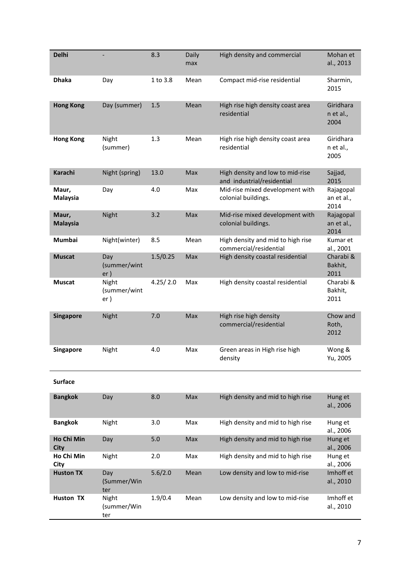| <b>Delhi</b>             |                              | 8.3      | Daily<br>max | High density and commercial                                    | Mohan et<br>al., 2013           |
|--------------------------|------------------------------|----------|--------------|----------------------------------------------------------------|---------------------------------|
| <b>Dhaka</b>             | Day                          | 1 to 3.8 | Mean         | Compact mid-rise residential                                   | Sharmin,<br>2015                |
| <b>Hong Kong</b>         | Day (summer)                 | 1.5      | Mean         | High rise high density coast area<br>residential               | Giridhara<br>n et al.,<br>2004  |
| <b>Hong Kong</b>         | Night<br>(summer)            | 1.3      | Mean         | High rise high density coast area<br>residential               | Giridhara<br>n et al.,<br>2005  |
| Karachi                  | Night (spring)               | 13.0     | Max          | High density and low to mid-rise<br>and industrial/residential | Sajjad,<br>2015                 |
| Maur,<br><b>Malaysia</b> | Day                          | 4.0      | Max          | Mid-rise mixed development with<br>colonial buildings.         | Rajagopal<br>an et al.,<br>2014 |
| Maur,<br><b>Malaysia</b> | Night                        | 3.2      | Max          | Mid-rise mixed development with<br>colonial buildings.         | Rajagopal<br>an et al.,<br>2014 |
| Mumbai                   | Night(winter)                | 8.5      | Mean         | High density and mid to high rise<br>commercial/residential    | Kumar et<br>al., 2001           |
| <b>Muscat</b>            | Day<br>(summer/wint<br>er)   | 1.5/0.25 | Max          | High density coastal residential                               | Charabi &<br>Bakhit,<br>2011    |
| <b>Muscat</b>            | Night<br>(summer/wint<br>er) | 4.25/2.0 | Max          | High density coastal residential                               | Charabi &<br>Bakhit,<br>2011    |
| <b>Singapore</b>         | Night                        | 7.0      | Max          | High rise high density<br>commercial/residential               | Chow and<br>Roth,<br>2012       |
| <b>Singapore</b>         | Night                        | 4.0      | Max          | Green areas in High rise high<br>density                       | Wong &<br>Yu, 2005              |
| <b>Surface</b>           |                              |          |              |                                                                |                                 |
| <b>Bangkok</b>           | Day                          | 8.0      | Max          | High density and mid to high rise                              | Hung et<br>al., 2006            |
| <b>Bangkok</b>           | Night                        | 3.0      | Max          | High density and mid to high rise                              | Hung et<br>al., 2006            |
| Ho Chi Min<br>City       | Day                          | 5.0      | Max          | High density and mid to high rise                              | Hung et<br>al., 2006            |
| Ho Chi Min<br>City       | Night                        | 2.0      | Max          | High density and mid to high rise                              | Hung et<br>al., 2006            |
| <b>Huston TX</b>         | Day<br>(Summer/Win<br>ter    | 5.6/2.0  | Mean         | Low density and low to mid-rise                                | Imhoff et<br>al., 2010          |
| Huston TX                | Night<br>(summer/Win<br>ter  | 1.9/0.4  | Mean         | Low density and low to mid-rise                                | Imhoff et<br>al., 2010          |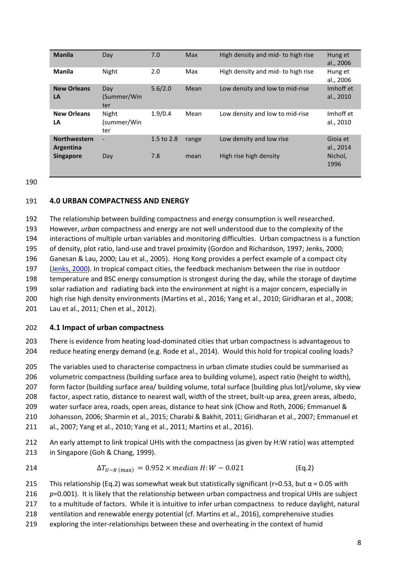| <b>Manila</b>                    | Day                         | 7.0        | Max   | High density and mid- to high rise | Hung et<br>al., 2006   |
|----------------------------------|-----------------------------|------------|-------|------------------------------------|------------------------|
| <b>Manila</b>                    | Night                       | 2.0        | Max   | High density and mid- to high rise | Hung et<br>al., 2006   |
| <b>New Orleans</b><br>LA         | Day<br>(Summer/Win<br>ter   | 5.6/2.0    | Mean  | Low density and low to mid-rise    | Imhoff et<br>al., 2010 |
| <b>New Orleans</b><br>LA         | Night<br>(summer/Win<br>ter | 1.9/0.4    | Mean  | Low density and low to mid-rise    | Imhoff et<br>al., 2010 |
| <b>Northwestern</b><br>Argentina | $\overline{\phantom{a}}$    | 1.5 to 2.8 | range | Low density and low rise           | Gioja et<br>al., 2014  |
| <b>Singapore</b>                 | Day                         | 7.8        | mean  | High rise high density             | Nichol,<br>1996        |

190

#### 191 **4.0 URBAN COMPACTNESS AND ENERGY**

 The relationship between building compactness and energy consumption is well researched. However, *urban* compactness and energy are not well understood due to the complexity of the interactions of multiple urban variables and monitoring difficulties. Urban compactness is a function of density, plot ratio, land-use and travel proximity (Gordon and Richardson, 1997; Jenks, 2000; Ganesan & Lau, 2000; Lau et al., 2005). Hong Kong provides a perfect example of a compact city [\(Jenks, 2000\)](http://www.sciencedirect.com/science/article/pii/S019739750400027X#BIB16). In tropical compact cities, the feedback mechanism between the rise in outdoor temperature and BSC energy consumption is strongest during the day, while the storage of daytime solar radiation and radiating back into the environment at night is a major concern, especially in high rise high density environments (Martins et al., 2016; Yang et al., 2010; Giridharan et al., 2008; Lau et al., 2011; Chen et al., 2012).

#### 202 **4.1 Impact of urban compactness**

203 There is evidence from heating load-dominated cities that urban compactness is advantageous to 204 reduce heating energy demand (e.g. Rode et al., 2014). Would this hold for tropical cooling loads?

205 The variables used to characterise compactness in urban climate studies could be summarised as

206 volumetric compactness (building surface area to building volume), aspect ratio (height to width),

207 form factor (building surface area/ building volume, total surface [building plus lot]/volume, sky view

208 factor, aspect ratio, distance to nearest wall, width of the street, built-up area, green areas, albedo,

209 water surface area, roads, open areas, distance to heat sink (Chow and Roth, 2006; Emmanuel &

210 Johansson, 2006; Sharmin et al., 2015; Charabi & Bakhit, 2011; Giridharan et al., 2007; Emmanuel et

211 al., 2007; Yang et al., 2010; Yang et al., 2011; Martins et al., 2016).

212 An early attempt to link tropical UHIs with the compactness (as given by H:W ratio) was attempted 213 in Singapore (Goh & Chang, 1999).

214 
$$
\Delta T_{U-R \text{ (max)}} = 0.952 \times \text{median } H : W - 0.021
$$
 (Eq.2)

215 This relationship (Eq.2) was somewhat weak but statistically significant (r=0.53, but  $\alpha$  = 0.05 with

216 *p*=0.001). It is likely that the relationship between urban compactness and tropical UHIs are subject

- 217 to a multitude of factors. While it is intuitive to infer urban compactness to reduce daylight, natural
- 218 ventilation and renewable energy potential (cf. Martins et al., 2016), comprehensive studies
- 219 exploring the inter-relationships between these and overheating in the context of humid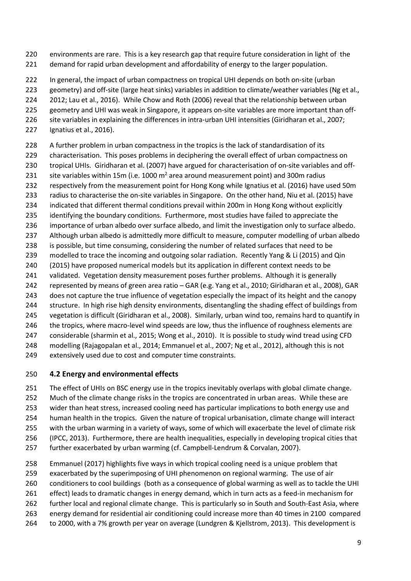environments are rare. This is a key research gap that require future consideration in light of the 221 demand for rapid urban development and affordability of energy to the larger population.

 In general, the impact of urban compactness on tropical UHI depends on both on-site (urban geometry) and off-site (large heat sinks) variables in addition to climate/weather variables (Ng et al., 2012; Lau et al., 2016). While Chow and Roth (2006) reveal that the relationship between urban geometry and UHI was weak in Singapore, it appears on-site variables are more important than off- site variables in explaining the differences in intra-urban UHI intensities (Giridharan et al., 2007; Ignatius et al., 2016).

228 A further problem in urban compactness in the tropics is the lack of standardisation of its characterisation. This poses problems in deciphering the overall effect of urban compactness on tropical UHIs. Giridharan et al. (2007) have argued for characterisation of on-site variables and off-231 site variables within 15m (i.e. 1000  $m^2$  area around measurement point) and 300m radius respectively from the measurement point for Hong Kong while Ignatius et al. (2016) have used 50m radius to characterise the on-site variables in Singapore. On the other hand, Niu et al. (2015) have indicated that different thermal conditions prevail within 200m in Hong Kong without explicitly identifying the boundary conditions. Furthermore, most studies have failed to appreciate the importance of urban albedo over surface albedo, and limit the investigation only to surface albedo. Although urban albedo is admittedly more difficult to measure, computer modelling of urban albedo is possible, but time consuming, considering the number of related surfaces that need to be modelled to trace the incoming and outgoing solar radiation. Recently Yang & Li (2015) and Qin 240 (2015) have proposed numerical models but its application in different context needs to be 241 validated. Vegetation density measurement poses further problems. Although it is generally 242 represented by means of green area ratio – GAR (e.g. Yang et al., 2010; Giridharan et al., 2008), GAR does not capture the true influence of vegetation especially the impact of its height and the canopy structure. In high rise high density environments, disentangling the shading effect of buildings from vegetation is difficult (Giridharan et al., 2008). Similarly, urban wind too, remains hard to quantify in 246 the tropics, where macro-level wind speeds are low, thus the influence of roughness elements are considerable (sharmin et al., 2015; Wong et al., 2010). It is possible to study wind tread using CFD modelling (Rajagopalan et al., 2014; Emmanuel et al., 2007; Ng et al., 2012), although this is not extensively used due to cost and computer time constraints.

#### **4.2 Energy and environmental effects**

 The effect of UHIs on BSC energy use in the tropics inevitably overlaps with global climate change. 252 Much of the climate change risks in the tropics are concentrated in urban areas. While these are wider than heat stress, increased cooling need has particular implications to both energy use and human health in the tropics. Given the nature of tropical urbanisation, climate change will interact with the urban warming in a variety of ways, some of which will exacerbate the level of climate risk (IPCC, 2013). Furthermore, there are health inequalities, especially in developing tropical cities that further exacerbated by urban warming (cf. Campbell-Lendrum & Corvalan, 2007).

 Emmanuel (2017) highlights five ways in which tropical cooling need is a unique problem that exacerbated by the superimposing of UHI phenomenon on regional warming. The use of air conditioners to cool buildings (both as a consequence of global warming as well as to tackle the UHI effect) leads to dramatic changes in energy demand, which in turn acts as a feed-in mechanism for further local and regional climate change. This is particularly so in South and South-East Asia, where energy demand for residential air conditioning could increase more than 40 times in 2100 compared to 2000, with a 7% growth per year on average (Lundgren & Kjellstrom, 2013). This development is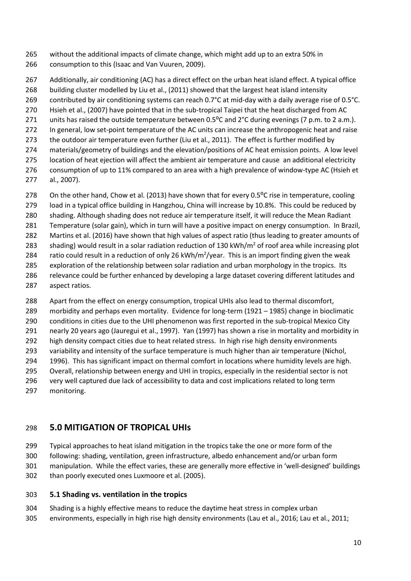- without the additional impacts of climate change, which might add up to an extra 50% in consumption to this (Isaac and Van Vuuren, 2009).
- Additionally, air conditioning (AC) has a direct effect on the urban heat island effect. A typical office building cluster modelled by Liu et al., (2011) showed that the largest heat island intensity contributed by air conditioning systems can reach 0.7°C at mid-day with a daily average rise of 0.5°C.
- Hsieh et al., (2007) have pointed that in the sub-tropical Taipei that the heat discharged from AC
- 271 units has raised the outside temperature between 0.5<sup>o</sup>C and 2<sup>o</sup>C during evenings (7 p.m. to 2 a.m.).
- In general, low set-point temperature of the AC units can increase the anthropogenic heat and raise
- 273 the outdoor air temperature even further (Liu et al., 2011). The effect is further modified by materials/geometry of buildings and the elevation/positions of AC heat emission points. A low level
- location of heat ejection will affect the ambient air temperature and cause an additional electricity
- consumption of up to 11% compared to an area with a high prevalence of window-type AC (Hsieh et al., 2007).
- 278 On the other hand, Chow et al. (2013) have shown that for every 0.5<sup>o</sup>C rise in temperature, cooling
- load in a typical office building in Hangzhou, China will increase by 10.8%. This could be reduced by
- shading. Although shading does not reduce air temperature itself, it will reduce the Mean Radiant
- Temperature (solar gain), which in turn will have a positive impact on energy consumption. In Brazil,
- Martins et al. (2016) have shown that high values of aspect ratio (thus leading to greater amounts of
- 283 shading) would result in a solar radiation reduction of 130 kWh/m<sup>2</sup> of roof area while increasing plot 284 ratio could result in a reduction of only 26 kWh/m<sup>2</sup>/year. This is an import finding given the weak
- exploration of the relationship between solar radiation and urban morphology in the tropics. Its relevance could be further enhanced by developing a large dataset covering different latitudes and
- aspect ratios.
- Apart from the effect on energy consumption, tropical UHIs also lead to thermal discomfort,
- 289 morbidity and perhaps even mortality. Evidence for long-term (1921  $-$  1985) change in bioclimatic
- conditions in cities due to the UHI phenomenon was first reported in the sub-tropical Mexico City
- nearly 20 years ago (Jauregui et al., 1997). Yan (1997) has shown a rise in mortality and morbidity in
- 292 high density compact cities due to heat related stress. In high rise high density environments
- 293 variability and intensity of the surface temperature is much higher than air temperature (Nichol,
- 1996). This has significant impact on thermal comfort in locations where humidity levels are high. Overall, relationship between energy and UHI in tropics, especially in the residential sector is not
- very well captured due lack of accessibility to data and cost implications related to long term
- monitoring.

## **5.0 MITIGATION OF TROPICAL UHIs**

- Typical approaches to heat island mitigation in the tropics take the one or more form of the
- following: shading, ventilation, green infrastructure, albedo enhancement and/or urban form
- 301 manipulation. While the effect varies, these are generally more effective in 'well-designed' buildings
- than poorly executed ones Luxmoore et al. (2005).

#### **5.1 Shading vs. ventilation in the tropics**

- Shading is a highly effective means to reduce the daytime heat stress in complex urban
- environments, especially in high rise high density environments (Lau et al., 2016; Lau et al., 2011;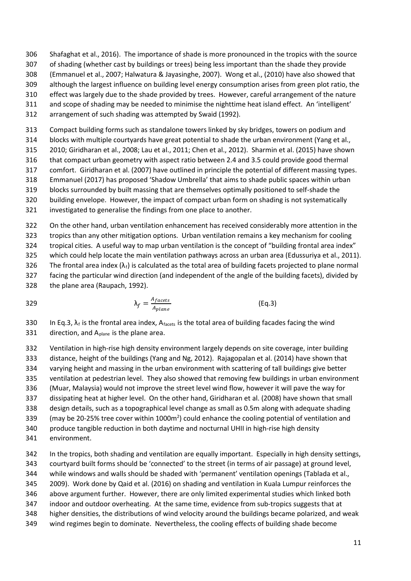- Shafaghat et al., 2016). The importance of shade is more pronounced in the tropics with the source
- of shading (whether cast by buildings or trees) being less important than the shade they provide
- (Emmanuel et al., 2007; Halwatura & Jayasinghe, 2007). Wong et al., (2010) have also showed that
- although the largest influence on building level energy consumption arises from green plot ratio, the effect was largely due to the shade provided by trees. However, careful arrangement of the nature
- 311 and scope of shading may be needed to minimise the nighttime heat island effect. An 'intelligent'
- arrangement of such shading was attempted by Swaid (1992).
- Compact building forms such as standalone towers linked by sky bridges, towers on podium and
- blocks with multiple courtyards have great potential to shade the urban environment (Yang et al.,
- 2010; Giridharan et al., 2008; Lau et al., 2011; Chen et al., 2012). Sharmin et al. (2015) have shown
- that compact urban geometry with aspect ratio between 2.4 and 3.5 could provide good thermal
- comfort. Giridharan et al. (2007) have outlined in principle the potential of different massing types.
- 318 Emmanuel (2017) has proposed 'Shadow Umbrella' that aims to shade public spaces within urban
- blocks surrounded by built massing that are themselves optimally positioned to self-shade the
- building envelope. However, the impact of compact urban form on shading is not systematically
- investigated to generalise the findings from one place to another.

 On the other hand, urban ventilation enhancement has received considerably more attention in the tropics than any other mitigation options. Urban ventilation remains a key mechanism for cooling 324 tropical cities. A useful way to map urban ventilation is the concept of "building frontal area index" which could help locate the main ventilation pathways across an urban area (Edussuriya et al., 2011). 326 The frontal area index  $(\lambda_f)$  is calculated as the total area of building facets projected to plane normal facing the particular wind direction (and independent of the angle of the building facets), divided by the plane area (Raupach, 1992).

$$
\lambda_f = \frac{A_{facets}}{A_{plane}}
$$
 (Eq.3)

330 In Eq.3,  $\lambda_f$  is the frontal area index, Afacets is the total area of building facades facing the wind 331 direction, and  $A_{plane}$  is the plane area.

 Ventilation in high-rise high density environment largely depends on site coverage, inter building distance, height of the buildings (Yang and Ng, 2012). Rajagopalan et al. (2014) have shown that varying height and massing in the urban environment with scattering of tall buildings give better ventilation at pedestrian level. They also showed that removing few buildings in urban environment (Muar, Malaysia) would not improve the street level wind flow, however it will pave the way for dissipating heat at higher level. On the other hand, Giridharan et al. (2008) have shown that small design details, such as a topographical level change as small as 0.5m along with adequate shading 339 (may be 20-25% tree cover within 1000 $m<sup>2</sup>$ ) could enhance the cooling potential of ventilation and produce tangible reduction in both daytime and nocturnal UHII in high-rise high density environment.

 In the tropics, both shading and ventilation are equally important. Especially in high density settings, courtyard built forms should be ëconnectedí to the street (in terms of air passage) at ground level, 344 while windows and walls should be shaded with 'permanent' ventilation openings (Tablada et al., 2009). Work done by Qaid et al. (2016) on shading and ventilation in Kuala Lumpur reinforces the above argument further. However, there are only limited experimental studies which linked both indoor and outdoor overheating. At the same time, evidence from sub-tropics suggests that at higher densities, the distributions of wind velocity around the buildings became polarized, and weak wind regimes begin to dominate. Nevertheless, the cooling effects of building shade become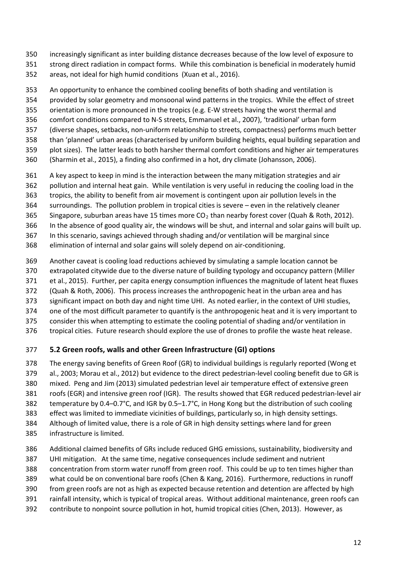- increasingly significant as inter building distance decreases because of the low level of exposure to strong direct radiation in compact forms. While this combination is beneficial in moderately humid
- areas, not ideal for high humid conditions (Xuan et al., 2016).
- An opportunity to enhance the combined cooling benefits of both shading and ventilation is
- provided by solar geometry and monsoonal wind patterns in the tropics. While the effect of street
- orientation is more pronounced in the tropics (e.g. E-W streets having the worst thermal and
- 356 comfort conditions compared to N-S streets, Emmanuel et al., 2007), 'traditional' urban form
- (diverse shapes, setbacks, non-uniform relationship to streets, compactness) performs much better
- 358 than 'planned' urban areas (characterised by uniform building heights, equal building separation and
- plot sizes). The latter leads to both harsher thermal comfort conditions and higher air temperatures
- (Sharmin et al., 2015), a finding also confirmed in a hot, dry climate (Johansson, 2006).
- A key aspect to keep in mind is the interaction between the many mitigation strategies and air
- pollution and internal heat gain. While ventilation is very useful in reducing the cooling load in the
- tropics, the ability to benefit from air movement is contingent upon air pollution levels in the
- 364 surroundings. The pollution problem in tropical cities is severe even in the relatively cleaner
- 365 Singapore, suburban areas have 15 times more  $CO<sub>2</sub>$  than nearby forest cover (Quah & Roth, 2012).
- In the absence of good quality air, the windows will be shut, and internal and solar gains will built up.
- In this scenario, savings achieved through shading and/or ventilation will be marginal since
- elimination of internal and solar gains will solely depend on air-conditioning.
- Another caveat is cooling load reductions achieved by simulating a sample location cannot be
- extrapolated citywide due to the diverse nature of building typology and occupancy pattern (Miller
- et al., 2015). Further, per capita energy consumption influences the magnitude of latent heat fluxes
- (Quah & Roth, 2006). This process increases the anthropogenic heat in the urban area and has
- significant impact on both day and night time UHI. As noted earlier, in the context of UHI studies,
- one of the most difficult parameter to quantify is the anthropogenic heat and it is very important to
- consider this when attempting to estimate the cooling potential of shading and/or ventilation in
- tropical cities. Future research should explore the use of drones to profile the waste heat release.

#### **5.2 Green roofs, walls and other Green Infrastructure (GI) options**

- The energy saving benefits of Green Roof (GR) to individual buildings is regularly reported (Wong et
- al., 2003; Morau et al., 2012) but evidence to the direct pedestrian-level cooling benefit due to GR is
- mixed. Peng and Jim (2013) simulated pedestrian level air temperature effect of extensive green
- roofs (EGR) and intensive green roof (IGR). The results showed that EGR reduced pedestrian-level air
- 382 temperature by 0.4–0.7°C, and IGR by 0.5–1.7°C, in Hong Kong but the distribution of such cooling
- effect was limited to immediate vicinities of buildings, particularly so, in high density settings.
- Although of limited value, there is a role of GR in high density settings where land for green
- infrastructure is limited.
- Additional claimed benefits of GRs include reduced GHG emissions, sustainability, biodiversity and
- UHI mitigation. At the same time, negative consequences include sediment and nutrient
- concentration from storm water runoff from green roof. This could be up to ten times higher than
- what could be on conventional bare roofs (Chen & Kang, 2016). Furthermore, reductions in runoff
- from green roofs are not as high as expected because retention and detention are affected by high
- rainfall intensity, which is typical of tropical areas. Without additional maintenance, green roofs can
- contribute to nonpoint source pollution in hot, humid tropical cities (Chen, 2013). However, as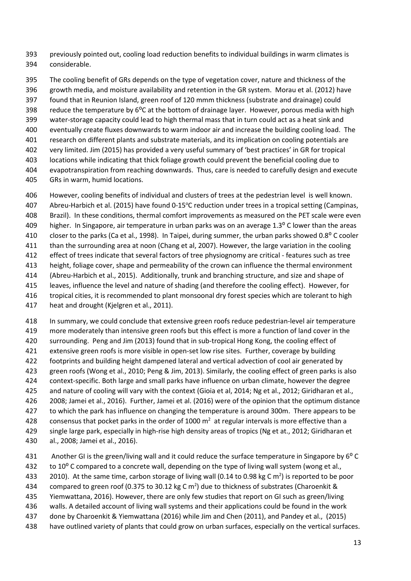previously pointed out, cooling load reduction benefits to individual buildings in warm climates is considerable.

 The cooling benefit of GRs depends on the type of vegetation cover, nature and thickness of the growth media, and moisture availability and retention in the GR system. Morau et al. (2012) have found that in Reunion Island, green roof of 120 mmm thickness (substrate and drainage) could 398 reduce the temperature by  $6^{\circ}$ C at the bottom of drainage layer. However, porous media with high water-storage capacity could lead to high thermal mass that in turn could act as a heat sink and eventually create fluxes downwards to warm indoor air and increase the building cooling load. The research on different plants and substrate materials, and its implication on cooling potentials are very limited. Jim (2015) has provided a very useful summary of ëbest practicesí in GR for tropical locations while indicating that thick foliage growth could prevent the beneficial cooling due to evapotranspiration from reaching downwards. Thus, care is needed to carefully design and execute GRs in warm, humid locations.

 However, cooling benefits of individual and clusters of trees at the pedestrian level is well known. Abreu-Harbich et al. (2015) have found 0-15°C reduction under trees in a tropical setting (Campinas, Brazil). In these conditions, thermal comfort improvements as measured on the PET scale were even 409 higher. In Singapore, air temperature in urban parks was on an average 1.3<sup>o</sup> C lower than the areas 410 closer to the parks (Ca et al., 1998). In Taipei, during summer, the urban parks showed 0.8<sup>o</sup> C cooler than the surrounding area at noon (Chang et al, 2007). However, the large variation in the cooling effect of trees indicate that several factors of tree physiognomy are critical - features such as tree height, foliage cover, shape and permeability of the crown can influence the thermal environment (Abreu-Harbich et al., 2015). Additionally, trunk and branching structure, and size and shape of leaves, influence the level and nature of shading (and therefore the cooling effect). However, for tropical cities, it is recommended to plant monsoonal dry forest species which are tolerant to high

heat and drought (Kjelgren et al., 2011).

 In summary, we could conclude that extensive green roofs reduce pedestrian-level air temperature more moderately than intensive green roofs but this effect is more a function of land cover in the surrounding. Peng and Jim (2013) found that in sub-tropical Hong Kong, the cooling effect of extensive green roofs is more visible in open-set low rise sites. Further, coverage by building footprints and building height dampened lateral and vertical advection of cool air generated by green roofs (Wong et al., 2010; Peng & Jim, 2013). Similarly, the cooling effect of green parks is also context-specific. Both large and small parks have influence on urban climate, however the degree and nature of cooling will vary with the context (Gioia et al, 2014; Ng et al., 2012; Giridharan et al., 2008; Jamei et al., 2016). Further, Jamei et al. (2016) were of the opinion that the optimum distance 427 to which the park has influence on changing the temperature is around 300m. There appears to be 428 consensus that pocket parks in the order of 1000  $m<sup>2</sup>$  at regular intervals is more effective than a single large park, especially in high-rise high density areas of tropics (Ng et at., 2012; Giridharan et al., 2008; Jamei et al., 2016).

- - 431 Another GI is the green/living wall and it could reduce the surface temperature in Singapore by 6<sup>o</sup> C 432 to 10<sup>o</sup> C compared to a concrete wall, depending on the type of living wall system (wong et al.,
	- 2010). At the same time, carbon storage of living wall (0.14 to 0.98 kg C m<sup>2</sup>) is reported to be poor
	- 434 compared to green roof (0.375 to 30.12 kg C m<sup>2</sup>) due to thickness of substrates (Charoenkit &
	- Yiemwattana, 2016). However, there are only few studies that report on GI such as green/living
	- walls. A detailed account of living wall systems and their applications could be found in the work
	- done by Charoenkit & Yiemwattana (2016) while Jim and Chen (2011), and Pandey et al., (2015)
	- have outlined variety of plants that could grow on urban surfaces, especially on the vertical surfaces.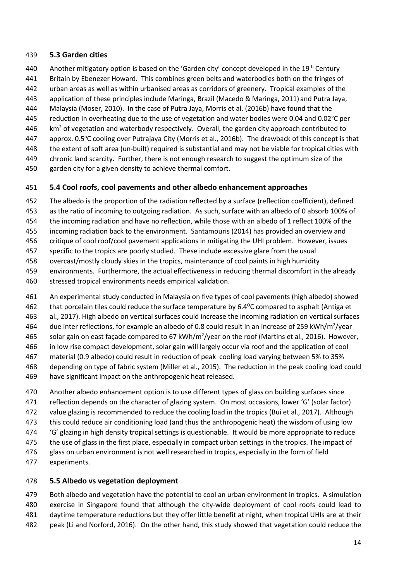#### **5.3 Garden cities**

- Another mitigatory option is based on the 'Garden city' concept developed in the 19<sup>th</sup> Century
- Britain by Ebenezer Howard. This combines green belts and waterbodies both on the fringes of
- urban areas as well as within urbanised areas as corridors of greenery. Tropical examples of the
- application of these principles include Maringa, Brazil (Macedo & Maringa, 2011) and Putra Jaya,
- Malaysia (Moser, 2010). In the case of Putra Jaya, Morris et al. (2016b) have found that the
- reduction in overheating due to the use of vegetation and water bodies were 0.04 and 0.02°C per
- $km<sup>2</sup>$  of vegetation and waterbody respectively. Overall, the garden city approach contributed to
- 447 approx. 0.5°C cooling over Putrajaya City (Morris et al., 2016b). The drawback of this concept is that
- the extent of soft area (un-built) required is substantial and may not be viable for tropical cities with
- chronic land scarcity. Further, there is not enough research to suggest the optimum size of the
- garden city for a given density to achieve thermal comfort.

#### **5.4 Cool roofs, cool pavements and other albedo enhancement approaches**

- The albedo is the proportion of the radiation reflected by a surface (reflection coefficient), defined
- as the ratio of incoming to outgoing radiation. As such, surface with an albedo of 0 absorb 100% of
- the incoming radiation and have no reflection, while those with an albedo of 1 reflect 100% of the
- incoming radiation back to the environment. Santamouris (2014) has provided an overview and
- critique of cool roof/cool pavement applications in mitigating the UHI problem. However, issues
- specific to the tropics are poorly studied. These include excessive glare from the usual
- overcast/mostly cloudy skies in the tropics, maintenance of cool paints in high humidity
- environments. Furthermore, the actual effectiveness in reducing thermal discomfort in the already
- stressed tropical environments needs empirical validation.
- An experimental study conducted in Malaysia on five types of cool pavements (high albedo) showed
- 462 that porcelain tiles could reduce the surface temperature by 6.4<sup>o</sup>C compared to asphalt (Antiga et
- al., 2017). High albedo on vertical surfaces could increase the incoming radiation on vertical surfaces
- 464 due inter reflections, for example an albedo of 0.8 could result in an increase of 259 kWh/m<sup>2</sup>/year
- 465 solar gain on east façade compared to 67 kWh/m<sup>2</sup>/year on the roof (Martins et al., 2016). However,
- in low rise compact development, solar gain will largely occur via roof and the application of cool
- material (0.9 albedo) could result in reduction of peak cooling load varying between 5% to 35%
- depending on type of fabric system (Miller et al., 2015). The reduction in the peak cooling load could
- have significant impact on the anthropogenic heat released.
- Another albedo enhancement option is to use different types of glass on building surfaces since
- 471 reflection depends on the character of glazing system. On most occasions, lower 'G' (solar factor)
- value glazing is recommended to reduce the cooling load in the tropics (Bui et al., 2017). Although
- this could reduce air conditioning load (and thus the anthropogenic heat) the wisdom of using low
- 474 G' glazing in high density tropical settings is questionable. It would be more appropriate to reduce
- 475 the use of glass in the first place, especially in compact urban settings in the tropics. The impact of
- glass on urban environment is not well researched in tropics, especially in the form of field
- experiments.

## **5.5 Albedo vs vegetation deployment**

 Both albedo and vegetation have the potential to cool an urban environment in tropics. A simulation exercise in Singapore found that although the city-wide deployment of cool roofs could lead to daytime temperature reductions but they offer little benefit at night, when tropical UHIs are at their peak (Li and Norford, 2016). On the other hand, this study showed that vegetation could reduce the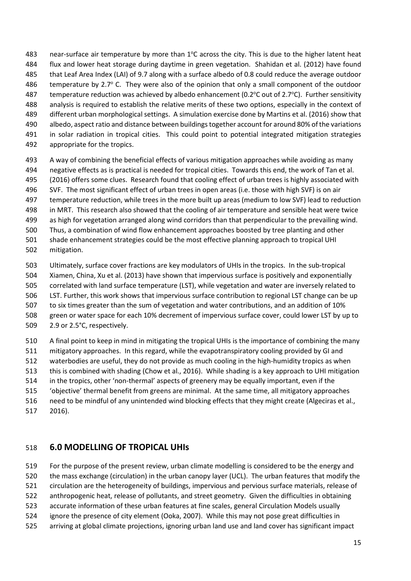483 near-surface air temperature by more than  $1^{\circ}$ C across the city. This is due to the higher latent heat flux and lower heat storage during daytime in green vegetation. Shahidan et al. (2012) have found that Leaf Area Index (LAI) of 9.7 along with a surface albedo of 0.8 could reduce the average outdoor 486 temperature by 2.7 $\degree$  C. They were also of the opinion that only a small component of the outdoor 487 temperature reduction was achieved by albedo enhancement (0.2 $\degree$ C out of 2.7 $\degree$ C). Further sensitivity analysis is required to establish the relative merits of these two options, especially in the context of different urban morphological settings. A simulation exercise done by Martins et al. (2016) show that albedo, aspect ratio and distance between buildings together account for around 80% of the variations in solar radiation in tropical cities. This could point to potential integrated mitigation strategies appropriate for the tropics.

 A way of combining the beneficial effects of various mitigation approaches while avoiding as many negative effects as is practical is needed for tropical cities. Towards this end, the work of Tan et al. (2016) offers some clues. Research found that cooling effect of urban trees is highly associated with SVF. The most significant effect of urban trees in open areas (i.e. those with high SVF) is on air temperature reduction, while trees in the more built up areas (medium to low SVF) lead to reduction in MRT. This research also showed that the cooling of air temperature and sensible heat were twice as high for vegetation arranged along wind corridors than that perpendicular to the prevailing wind. Thus, a combination of wind flow enhancement approaches boosted by tree planting and other shade enhancement strategies could be the most effective planning approach to tropical UHI

mitigation.

Ultimately, surface cover fractions are key modulators of UHIs in the tropics. In the sub-tropical

 Xiamen, China, Xu et al. (2013) have shown that impervious surface is positively and exponentially correlated with land surface temperature (LST), while vegetation and water are inversely related to LST. Further, this work shows that impervious surface contribution to regional LST change can be up

507 to six times greater than the sum of vegetation and water contributions, and an addition of 10%

- green or water space for each 10% decrement of impervious surface cover, could lower LST by up to 2.9 or 2.5°C, respectively.
- A final point to keep in mind in mitigating the tropical UHIs is the importance of combining the many mitigatory approaches. In this regard, while the evapotranspiratory cooling provided by GI and waterbodies are useful, they do not provide as much cooling in the high-humidity tropics as when this is combined with shading (Chow et al., 2016). While shading is a key approach to UHI mitigation 514 in the tropics, other 'non-thermal' aspects of greenery may be equally important, even if the ëobjectiveí thermal benefit from greens are minimal. At the same time, all mitigatory approaches need to be mindful of any unintended wind blocking effects that they might create (Algeciras et al., 2016).

#### **6.0 MODELLING OF TROPICAL UHIs**

 For the purpose of the present review, urban climate modelling is considered to be the energy and the mass exchange (circulation) in the urban canopy layer (UCL). The urban features that modify the circulation are the heterogeneity of buildings, impervious and pervious surface materials, release of anthropogenic heat, release of pollutants, and street geometry. Given the difficulties in obtaining accurate information of these urban features at fine scales, general Circulation Models usually ignore the presence of city element (Ooka, 2007). While this may not pose great difficulties in arriving at global climate projections, ignoring urban land use and land cover has significant impact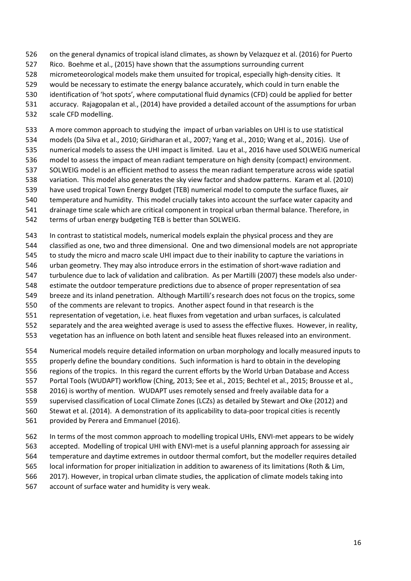- on the general dynamics of tropical island climates, as shown by Velazquez et al. (2016) for Puerto
- Rico. Boehme et al., (2015) have shown that the assumptions surrounding current
- micrometeorological models make them unsuited for tropical, especially high-density cities. It
- would be necessary to estimate the energy balance accurately, which could in turn enable the
- identification of ëhot spotsí, where computational fluid dynamics (CFD) could be applied for better
- accuracy. Rajagopalan et al., (2014) have provided a detailed account of the assumptions for urban
- scale CFD modelling.

 A more common approach to studying the impact of urban variables on UHI is to use statistical models (Da Silva et al., 2010; Giridharan et al., 2007; Yang et al., 2010; Wang et al., 2016). Use of numerical models to assess the UHI impact is limited. Lau et al., 2016 have used SOLWEIG numerical model to assess the impact of mean radiant temperature on high density (compact) environment. SOLWEIG model is an efficient method to assess the mean radiant temperature across wide spatial variation. This model also generates the sky view factor and shadow patterns. Karam et al. (2010) have used tropical Town Energy Budget (TEB) numerical model to compute the surface fluxes, air temperature and humidity. This model crucially takes into account the surface water capacity and drainage time scale which are critical component in tropical urban thermal balance. Therefore, in terms of urban energy budgeting TEB is better than SOLWEIG.

- In contrast to statistical models, numerical models explain the physical process and they are classified as one, two and three dimensional. One and two dimensional models are not appropriate to study the micro and macro scale UHI impact due to their inability to capture the variations in urban geometry. They may also introduce errors in the estimation of short-wave radiation and turbulence due to lack of validation and calibration. As per Martilli (2007) these models also under- estimate the outdoor temperature predictions due to absence of proper representation of sea 549 breeze and its inland penetration. Although Martilli's research does not focus on the tropics, some
- of the comments are relevant to tropics. Another aspect found in that research is the
- representation of vegetation, i.e. heat fluxes from vegetation and urban surfaces, is calculated
- separately and the area weighted average is used to assess the effective fluxes. However, in reality,
- vegetation has an influence on both latent and sensible heat fluxes released into an environment.
- Numerical models require detailed information on urban morphology and locally measured inputs to properly define the boundary conditions. Such information is hard to obtain in the developing regions of the tropics. In this regard the current efforts by the World Urban Database and Access Portal Tools (WUDAPT) workflow (Ching, 2013; See et al., 2015; Bechtel et al., 2015; Brousse et al., 2016) is worthy of mention. WUDAPT uses remotely sensed and freely available data for a supervised classification of Local Climate Zones (LCZs) as detailed by Stewart and Oke (2012) and Stewat et al. (2014). A demonstration of its applicability to data-poor tropical cities is recently provided by Perera and Emmanuel (2016).
- In terms of the most common approach to modelling tropical UHIs, ENVI-met appears to be widely accepted. Modelling of tropical UHI with ENVI-met is a useful planning approach for assessing air temperature and daytime extremes in outdoor thermal comfort, but the modeller requires detailed local information for proper initialization in addition to awareness of its limitations (Roth & Lim, 2017). However, in tropical urban climate studies, the application of climate models taking into account of surface water and humidity is very weak.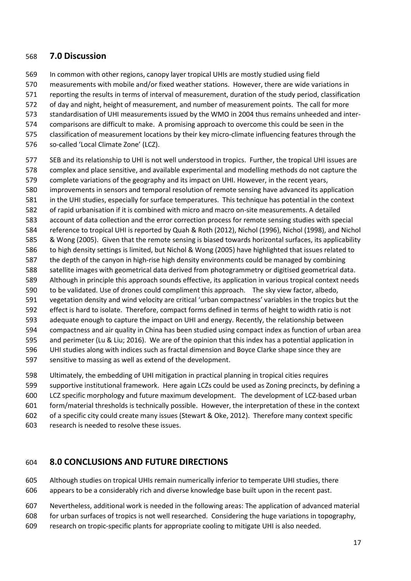#### **7.0 Discussion**

- In common with other regions, canopy layer tropical UHIs are mostly studied using field
- measurements with mobile and/or fixed weather stations. However, there are wide variations in
- reporting the results in terms of interval of measurement, duration of the study period, classification
- of day and night, height of measurement, and number of measurement points. The call for more
- standardisation of UHI measurements issued by the WMO in 2004 thus remains unheeded and inter-
- comparisons are difficult to make. A promising approach to overcome this could be seen in the
- classification of measurement locations by their key micro-climate influencing features through the
- 576 so-called 'Local Climate Zone' (LCZ).
- SEB and its relationship to UHI is not well understood in tropics. Further, the tropical UHI issues are complex and place sensitive, and available experimental and modelling methods do not capture the complete variations of the geography and its impact on UHI. However, in the recent years, improvements in sensors and temporal resolution of remote sensing have advanced its application in the UHI studies, especially for surface temperatures. This technique has potential in the context of rapid urbanisation if it is combined with micro and macro on-site measurements. A detailed account of data collection and the error correction process for remote sensing studies with special reference to tropical UHI is reported by Quah & Roth (2012), Nichol (1996), Nichol (1998), and Nichol & Wong (2005). Given that the remote sensing is biased towards horizontal surfaces, its applicability to high density settings is limited, but Nichol & Wong (2005) have highlighted that issues related to the depth of the canyon in high-rise high density environments could be managed by combining satellite images with geometrical data derived from photogrammetry or digitised geometrical data. Although in principle this approach sounds effective, its application in various tropical context needs to be validated. Use of drones could compliment this approach. The sky view factor, albedo, 591 vegetation density and wind velocity are critical 'urban compactness' variables in the tropics but the effect is hard to isolate. Therefore, compact forms defined in terms of height to width ratio is not adequate enough to capture the impact on UHI and energy. Recently, the relationship between compactness and air quality in China has been studied using compact index as function of urban area and perimeter (Lu & Liu; 2016). We are of the opinion that this index has a potential application in UHI studies along with indices such as fractal dimension and Boyce Clarke shape since they are sensitive to massing as well as extend of the development.
- Ultimately, the embedding of UHI mitigation in practical planning in tropical cities requires supportive institutional framework. Here again LCZs could be used as Zoning precincts, by defining a LCZ specific morphology and future maximum development. The development of LCZ-based urban form/material thresholds is technically possible. However, the interpretation of these in the context of a specific city could create many issues (Stewart & Oke, 2012). Therefore many context specific research is needed to resolve these issues.

#### **8.0 CONCLUSIONS AND FUTURE DIRECTIONS**

 Although studies on tropical UHIs remain numerically inferior to temperate UHI studies, there appears to be a considerably rich and diverse knowledge base built upon in the recent past.

- Nevertheless, additional work is needed in the following areas: The application of advanced material
- for urban surfaces of tropics is not well researched. Considering the huge variations in topography,
- research on tropic-specific plants for appropriate cooling to mitigate UHI is also needed.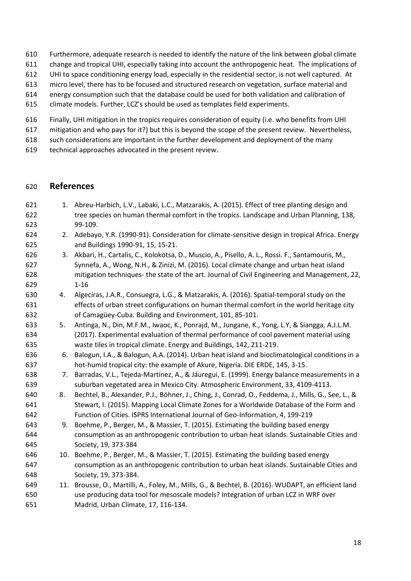- Furthermore, adequate research is needed to identify the nature of the link between global climate
- change and tropical UHI, especially taking into account the anthropogenic heat. The implications of
- UHI to space conditioning energy load, especially in the residential sector, is not well captured. At
- micro level, there has to be focused and structured research on vegetation, surface material and
- energy consumption such that the database could be used for both validation and calibration of
- climate models. Further, LCZís should be used as templates field experiments.
- Finally, UHI mitigation in the tropics requires consideration of equity (i.e. who benefits from UHI
- mitigation and who pays for it?) but this is beyond the scope of the present review. Nevertheless,
- such considerations are important in the further development and deployment of the many
- technical approaches advocated in the present review.

#### **References**

- 1. Abreu-Harbich, L.V., Labaki, L.C., Matzarakis, A. (2015). Effect of tree planting design and tree species on human thermal comfort in the tropics. Landscape and Urban Planning, 138, 99-109. 2. Adebayo, Y.R. (1990-91). Consideration for climate-sensitive design in tropical Africa. Energy and Buildings 1990-91, 15, 15-21. 3. Akbari, H., Cartalis, C., Kolokotsa, D., Muscio, A., Pisello, A. L., Rossi. F., Santamouris, M., Synnefa, A., Wong, N.H., & Zinizi, M. (2016). Local climate change and urban heat island mitigation techniques- the state of the art. Journal of Civil Engineering and Management, 22, 1-16 4. Algeciras, J.A.R., Consuegra, L.G., & Matzarakis, A. (2016). Spatial-temporal study on the
- effects of urban street configurations on human thermal comfort in the world heritage city 632 of Camagüey-Cuba. Building and Environment, 101, 85-101.
- 5. Antinga, N., Din, M.F.M., Iwaoc, K., Ponrajd, M., Jungane, K., Yong, L.Y, & Siangga, A.J.L.M. (2017). Experimental evaluation of thermal performance of cool pavement material using waste tiles in tropical climate. Energy and Buildings, 142, 211-219.
- 6. Balogun, I.A., & Balogun, A.A. (2014). Urban heat island and bioclimatological conditions in a hot-humid tropical city: the example of Akure, Nigeria. DIE ERDE, 145, 3-15.
- 638 7. Barradas, V.L., Tejeda-Martínez, A., & Jáuregui, E. (1999). Energy balance measurements in a suburban vegetated area in Mexico City. Atmospheric Environment, 33, 4109-4113.
- 640 8. Bechtel, B., Alexander, P.J., Böhner, J., Ching, J., Conrad, O., Feddema, J., Mills, G., See, L., & Stewart, I. (2015). Mapping Local Climate Zones for a Worldwide Database of the Form and Function of Cities. ISPRS International Journal of Geo-Information, 4, 199-219
- 9. Boehme, P., Berger, M., & Massier, T. (2015). Estimating the building based energy consumption as an anthropogenic contribution to urban heat islands. Sustainable Cities and Society, 19, 373-384
- 10. Boehme, P., Berger, M., & Massier, T. (2015). Estimating the building based energy consumption as an anthropogenic contribution to urban heat islands. Sustainable Cities and Society, 19, 373-384.
- 11. Brousse, O., Martilli, A., Foley, M., Mills, G., & Bechtel, B. (2016). WUDAPT, an efficient land use producing data tool for mesoscale models? Integration of urban LCZ in WRF over Madrid, Urban Climate, 17, 116-134.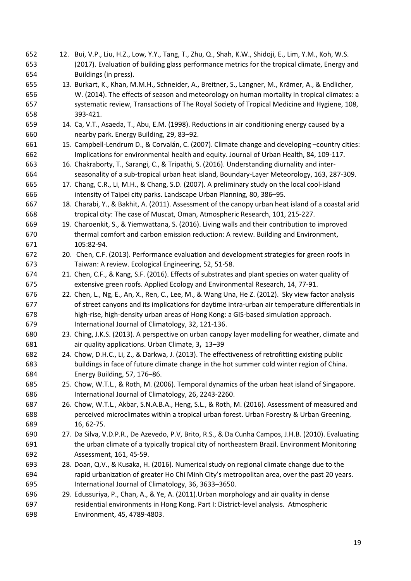| 652 | 12. Bui, V.P., Liu, H.Z., Low, Y.Y., Tang, T., Zhu, Q., Shah, K.W., Shidoji, E., Lim, Y.M., Koh, W.S. |
|-----|-------------------------------------------------------------------------------------------------------|
| 653 | (2017). Evaluation of building glass performance metrics for the tropical climate, Energy and         |
| 654 | Buildings (in press).                                                                                 |
| 655 | 13. Burkart, K., Khan, M.M.H., Schneider, A., Breitner, S., Langner, M., Krämer, A., & Endlicher,     |
| 656 | W. (2014). The effects of season and meteorology on human mortality in tropical climates: a           |
| 657 | systematic review, Transactions of The Royal Society of Tropical Medicine and Hygiene, 108,           |
| 658 | 393-421.                                                                                              |
| 659 | 14. Ca, V.T., Asaeda, T., Abu, E.M. (1998). Reductions in air conditioning energy caused by a         |
| 660 | nearby park. Energy Building, 29, 83-92.                                                              |
| 661 | 15. Campbell-Lendrum D., & Corvalán, C. (2007). Climate change and developing -country cities:        |
| 662 | Implications for environmental health and equity. Journal of Urban Health, 84, 109-117.               |
| 663 | 16. Chakraborty, T., Sarangi, C., & Tripathi, S. (2016). Understanding diurnality and inter-          |
| 664 | seasonality of a sub-tropical urban heat island, Boundary-Layer Meteorology, 163, 287-309.            |
| 665 | 17. Chang, C.R., Li, M.H., & Chang, S.D. (2007). A preliminary study on the local cool-island         |
| 666 | intensity of Taipei city parks. Landscape Urban Planning, 80, 386-95.                                 |
| 667 | 18. Charabi, Y., & Bakhit, A. (2011). Assessment of the canopy urban heat island of a coastal arid    |
| 668 | tropical city: The case of Muscat, Oman, Atmospheric Research, 101, 215-227.                          |
| 669 | 19. Charoenkit, S., & Yiemwattana, S. (2016). Living walls and their contribution to improved         |
| 670 | thermal comfort and carbon emission reduction: A review. Building and Environment,                    |
| 671 | 105:82-94.                                                                                            |
| 672 | 20. Chen, C.F. (2013). Performance evaluation and development strategies for green roofs in           |
| 673 | Taiwan: A review. Ecological Engineering, 52, 51-58.                                                  |
| 674 | 21. Chen, C.F., & Kang, S.F. (2016). Effects of substrates and plant species on water quality of      |
| 675 | extensive green roofs. Applied Ecology and Environmental Research, 14, 77-91.                         |
| 676 | 22. Chen, L., Ng, E., An, X., Ren, C., Lee, M., & Wang Una, He Z. (2012). Sky view factor analysis    |
| 677 | of street canyons and its implications for daytime intra-urban air temperature differentials in       |
| 678 | high-rise, high-density urban areas of Hong Kong: a GIS-based simulation approach.                    |
| 679 | International Journal of Climatology, 32, 121-136.                                                    |
| 680 | 23. Ching, J.K.S. (2013). A perspective on urban canopy layer modelling for weather, climate and      |
| 681 | air quality applications. Urban Climate, 3, 13-39                                                     |
| 682 | 24. Chow, D.H.C., Li, Z., & Darkwa, J. (2013). The effectiveness of retrofitting existing public      |
| 683 | buildings in face of future climate change in the hot summer cold winter region of China.             |
| 684 | Energy Building, 57, 176-86.                                                                          |
| 685 | 25. Chow, W.T.L., & Roth, M. (2006). Temporal dynamics of the urban heat island of Singapore.         |
| 686 | International Journal of Climatology, 26, 2243-2260.                                                  |
| 687 | 26. Chow, W.T.L., Akbar, S.N.A.B.A., Heng, S.L., & Roth, M. (2016). Assessment of measured and        |
| 688 | perceived microclimates within a tropical urban forest. Urban Forestry & Urban Greening,              |
| 689 | 16, 62-75.                                                                                            |
| 690 | 27. Da Silva, V.D.P.R., De Azevedo, P.V, Brito, R.S., & Da Cunha Campos, J.H.B. (2010). Evaluating    |
| 691 | the urban climate of a typically tropical city of northeastern Brazil. Environment Monitoring         |
| 692 | Assessment, 161, 45-59.                                                                               |
| 693 | 28. Doan, Q.V., & Kusaka, H. (2016). Numerical study on regional climate change due to the            |
| 694 | rapid urbanization of greater Ho Chi Minh City's metropolitan area, over the past 20 years.           |
| 695 | International Journal of Climatology, 36, 3633-3650.                                                  |
| 696 | 29. Edussuriya, P., Chan, A., & Ye, A. (2011). Urban morphology and air quality in dense              |
| 697 | residential environments in Hong Kong. Part I: District-level analysis. Atmospheric                   |
| 698 | Environment, 45, 4789-4803.                                                                           |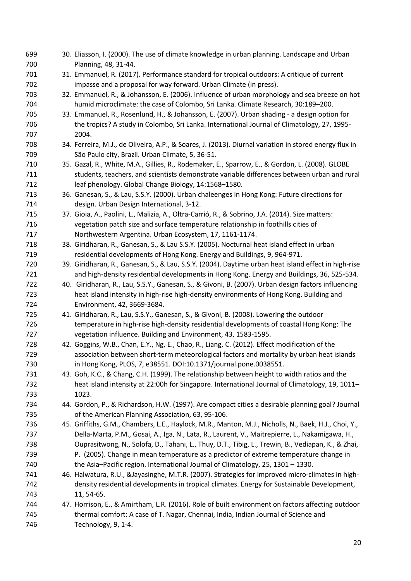| 699 | 30. Eliasson, I. (2000). The use of climate knowledge in urban planning. Landscape and Urban           |
|-----|--------------------------------------------------------------------------------------------------------|
| 700 | Planning, 48, 31-44.                                                                                   |
| 701 | 31. Emmanuel, R. (2017). Performance standard for tropical outdoors: A critique of current             |
| 702 | impasse and a proposal for way forward. Urban Climate (in press).                                      |
| 703 | 32. Emmanuel, R., & Johansson, E. (2006). Influence of urban morphology and sea breeze on hot          |
| 704 | humid microclimate: the case of Colombo, Sri Lanka. Climate Research, 30:189-200.                      |
| 705 | 33. Emmanuel, R., Rosenlund, H., & Johansson, E. (2007). Urban shading - a design option for           |
| 706 | the tropics? A study in Colombo, Sri Lanka. International Journal of Climatology, 27, 1995-            |
| 707 | 2004.                                                                                                  |
| 708 | 34. Ferreira, M.J., de Oliveira, A.P., & Soares, J. (2013). Diurnal variation in stored energy flux in |
| 709 | São Paulo city, Brazil. Urban Climate, 5, 36-51.                                                       |
| 710 | 35. Gazal, R., White, M.A., Gillies, R., Rodemaker, E., Sparrow, E., & Gordon, L. (2008). GLOBE        |
| 711 | students, teachers, and scientists demonstrate variable differences between urban and rural            |
| 712 | leaf phenology. Global Change Biology, 14:1568-1580.                                                   |
| 713 | 36. Ganesan, S., & Lau, S.S.Y. (2000). Urban chaleenges in Hong Kong: Future directions for            |
| 714 | design. Urban Design International, 3-12.                                                              |
| 715 | 37. Gioia, A., Paolini, L., Malizia, A., Oltra-Carrió, R., & Sobrino, J.A. (2014). Size matters:       |
| 716 | vegetation patch size and surface temperature relationship in foothills cities of                      |
| 717 | Northwestern Argentina. Urban Ecosystem, 17, 1161-1174.                                                |
| 718 | 38. Giridharan, R., Ganesan, S., & Lau S.S.Y. (2005). Nocturnal heat island effect in urban            |
| 719 | residential developments of Hong Kong. Energy and Buildings, 9, 964-971.                               |
| 720 | 39. Giridharan, R., Ganesan, S., & Lau, S.S.Y. (2004). Daytime urban heat island effect in high-rise   |
| 721 | and high-density residential developments in Hong Kong. Energy and Buildings, 36, 525-534.             |
| 722 | 40. Giridharan, R., Lau, S.S.Y., Ganesan, S., & Givoni, B. (2007). Urban design factors influencing    |
| 723 | heat island intensity in high-rise high-density environments of Hong Kong. Building and                |
| 724 | Environment, 42, 3669-3684.                                                                            |
| 725 | 41. Giridharan, R., Lau, S.S.Y., Ganesan, S., & Givoni, B. (2008). Lowering the outdoor                |
| 726 | temperature in high-rise high-density residential developments of coastal Hong Kong: The               |
| 727 | vegetation influence. Building and Environment, 43, 1583-1595.                                         |
| 728 | 42. Goggins, W.B., Chan, E.Y., Ng, E., Chao, R., Liang, C. (2012). Effect modification of the          |
| 729 | association between short-term meteorological factors and mortality by urban heat islands              |
| 730 | in Hong Kong, PLOS, 7, e38551. DOI:10.1371/journal.pone.0038551.                                       |
| 731 | 43. Goh, K.C., & Chang, C.H. (1999). The relationship between height to width ratios and the           |
| 732 | heat island intensity at 22:00h for Singapore. International Journal of Climatology, 19, 1011-         |
| 733 | 1023.                                                                                                  |
| 734 | 44. Gordon, P., & Richardson, H.W. (1997). Are compact cities a desirable planning goal? Journal       |
| 735 | of the American Planning Association, 63, 95-106.                                                      |
| 736 | 45. Griffiths, G.M., Chambers, L.E., Haylock, M.R., Manton, M.J., Nicholls, N., Baek, H.J., Choi, Y.,  |
| 737 | Della-Marta, P.M., Gosai, A., Iga, N., Lata, R., Laurent, V., Maitrepierre, L., Nakamigawa, H.,        |
| 738 | Ouprasitwong, N., Solofa, D., Tahani, L., Thuy, D.T., Tibig, L., Trewin, B., Vediapan, K., & Zhai,     |
| 739 | P. (2005). Change in mean temperature as a predictor of extreme temperature change in                  |
| 740 | the Asia-Pacific region. International Journal of Climatology, 25, 1301 - 1330.                        |
| 741 | 46. Halwatura, R.U., &Jayasinghe, M.T.R. (2007). Strategies for improved micro-climates in high-       |
| 742 | density residential developments in tropical climates. Energy for Sustainable Development,             |
| 743 | 11, 54-65.                                                                                             |
| 744 | 47. Horrison, E., & Amirtham, L.R. (2016). Role of built environment on factors affecting outdoor      |
| 745 | thermal comfort: A case of T. Nagar, Chennai, India, Indian Journal of Science and                     |
| 746 | Technology, 9, 1-4.                                                                                    |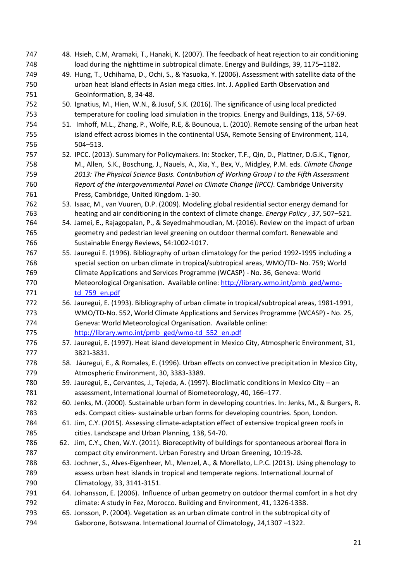| 747 | 48. Hsieh, C.M, Aramaki, T., Hanaki, K. (2007). The feedback of heat rejection to air conditioning |
|-----|----------------------------------------------------------------------------------------------------|
| 748 | load during the nighttime in subtropical climate. Energy and Buildings, 39, 1175-1182.             |
| 749 | 49. Hung, T., Uchihama, D., Ochi, S., & Yasuoka, Y. (2006). Assessment with satellite data of the  |
| 750 | urban heat island effects in Asian mega cities. Int. J. Applied Earth Observation and              |
| 751 | Geoinformation, 8, 34-48.                                                                          |
| 752 | 50. Ignatius, M., Hien, W.N., & Jusuf, S.K. (2016). The significance of using local predicted      |
| 753 | temperature for cooling load simulation in the tropics. Energy and Buildings, 118, 57-69.          |
| 754 | 51. Imhoff, M.L., Zhang, P., Wolfe, R.E, & Bounoua, L. (2010). Remote sensing of the urban heat    |
| 755 | island effect across biomes in the continental USA, Remote Sensing of Environment, 114,            |
| 756 | $504 - 513.$                                                                                       |
| 757 | 52. IPCC. (2013). Summary for Policymakers. In: Stocker, T.F., Qin, D., Plattner, D.G.K., Tignor,  |
| 758 | M., Allen, S.K., Boschung, J., Nauels, A., Xia, Y., Bex, V., Midgley, P.M. eds. Climate Change     |
| 759 | 2013: The Physical Science Basis. Contribution of Working Group I to the Fifth Assessment          |
| 760 | Report of the Intergovernmental Panel on Climate Change (IPCC). Cambridge University               |
| 761 | Press, Cambridge, United Kingdom. 1-30.                                                            |
| 762 | 53. Isaac, M., van Vuuren, D.P. (2009). Modeling global residential sector energy demand for       |
| 763 | heating and air conditioning in the context of climate change. Energy Policy, 37, 507-521.         |
| 764 | 54. Jamei, E., Rajagopalan, P., & Seyedmahmoudian, M. (2016). Review on the impact of urban        |
| 765 | geometry and pedestrian level greening on outdoor thermal comfort. Renewable and                   |
| 766 | Sustainable Energy Reviews, 54:1002-1017.                                                          |
| 767 | 55. Jauregui E. (1996). Bibliography of urban climatology for the period 1992-1995 including a     |
| 768 | special section on urban climate in tropical/subtropical areas, WMO/TD- No. 759; World             |
| 769 | Climate Applications and Services Programme (WCASP) - No. 36, Geneva: World                        |
| 770 | Meteorological Organisation. Available online: http://library.wmo.int/pmb_ged/wmo-                 |
| 771 | td 759 en.pdf                                                                                      |
| 772 | 56. Jauregui, E. (1993). Bibliography of urban climate in tropical/subtropical areas, 1981-1991,   |
| 773 | WMO/TD-No. 552, World Climate Applications and Services Programme (WCASP) - No. 25,                |
| 774 | Geneva: World Meteorological Organisation. Available online:                                       |
| 775 | http://library.wmo.int/pmb_ged/wmo-td_552_en.pdf                                                   |
| 776 | 57. Jauregui, E. (1997). Heat island development in Mexico City, Atmospheric Environment, 31,      |
| 777 | 3821-3831.                                                                                         |
| 778 | 58. Jáuregui, E., & Romales, E. (1996). Urban effects on convective precipitation in Mexico City,  |
| 779 | Atmospheric Environment, 30, 3383-3389.                                                            |
| 780 | 59. Jauregui, E., Cervantes, J., Tejeda, A. (1997). Bioclimatic conditions in Mexico City - an     |
| 781 | assessment, International Journal of Biometeorology, 40, 166-177.                                  |
| 782 | 60. Jenks, M. (2000). Sustainable urban form in developing countries. In: Jenks, M., & Burgers, R. |
| 783 | eds. Compact cities- sustainable urban forms for developing countries. Spon, London.               |
| 784 | 61. Jim, C.Y. (2015). Assessing climate-adaptation effect of extensive tropical green roofs in     |
| 785 | cities. Landscape and Urban Planning, 138, 54-70.                                                  |
| 786 | 62. Jim, C.Y., Chen, W.Y. (2011). Bioreceptivity of buildings for spontaneous arboreal flora in    |
| 787 | compact city environment. Urban Forestry and Urban Greening, 10:19-28.                             |
| 788 | 63. Jochner, S., Alves-Eigenheer, M., Menzel, A., & Morellato, L.P.C. (2013). Using phenology to   |
| 789 | assess urban heat islands in tropical and temperate regions. International Journal of              |
| 790 | Climatology, 33, 3141-3151.                                                                        |
| 791 | 64. Johansson, E. (2006). Influence of urban geometry on outdoor thermal comfort in a hot dry      |
| 792 | climate: A study in Fez, Morocco. Building and Environment, 41, 1326-1338.                         |
| 793 | 65. Jonsson, P. (2004). Vegetation as an urban climate control in the subtropical city of          |
| 794 | Gaborone, Botswana. International Journal of Climatology, 24,1307-1322.                            |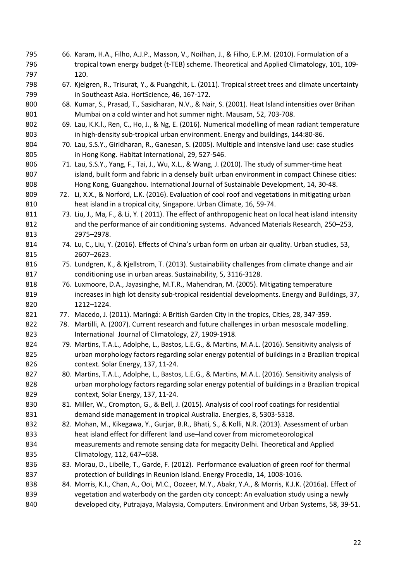66. Karam, H.A., Filho, A.J.P., Masson, V., Noilhan, J., & Filho, E.P.M. (2010). Formulation of a tropical town energy budget (t-TEB) scheme. Theoretical and Applied Climatology, 101, 109- 120. 67. Kjelgren, R., Trisurat, Y., & Puangchit, L. (2011). Tropical street trees and climate uncertainty in Southeast Asia. HortScience, 46, 167-172. 68. Kumar, S., Prasad, T., Sasidharan, N.V., & Nair, S. (2001). Heat Island intensities over Brihan Mumbai on a cold winter and hot summer night. Mausam, 52, 703-708. 69. Lau, K.K.l., Ren, C., Ho, J., & Ng, E. (2016). Numerical modelling of mean radiant temperature 803 in high-density sub-tropical urban environment. Energy and buildings, 144:80-86. 70. Lau, S.S.Y., Giridharan, R., Ganesan, S. (2005). Multiple and intensive land use: case studies in Hong Kong. Habitat International, 29, 527-546. 71. Lau, S.S.Y., Yang, F., Tai, J., Wu, X.L., & Wang, J. (2010). The study of summer-time heat 807 island, built form and fabric in a densely built urban environment in compact Chinese cities: Hong Kong, Guangzhou. International Journal of Sustainable Development, 14, 30-48. 72. Li, X.X., & Norford, L.K. (2016). Evaluation of cool roof and vegetations in mitigating urban heat island in a tropical city, Singapore. Urban Climate, 16, 59-74. 811 73. Liu, J., Ma, F., & Li, Y. (2011). The effect of anthropogenic heat on local heat island intensity 812 and the performance of air conditioning systems. Advanced Materials Research, 250–253, 813 2975-2978. 74. Lu, C., Liu, Y. (2016). Effects of Chinaís urban form on urban air quality. Urban studies, 53, 815 2607-2623. 816 75. Lundgren, K., & Kjellstrom, T. (2013). Sustainability challenges from climate change and air conditioning use in urban areas. Sustainability, 5, 3116-3128. 76. Luxmoore, D.A., Jayasinghe, M.T.R., Mahendran, M. (2005). Mitigating temperature increases in high lot density sub-tropical residential developments. Energy and Buildings, 37, 820 1212-1224. 821 77. Macedo, J. (2011). Maringá: A British Garden City in the tropics, Cities, 28, 347-359. 78. Martilli, A. (2007). Current research and future challenges in urban mesoscale modelling. International Journal of Climatology, 27, 1909-1918. 79. Martins, T.A.L., Adolphe, L., Bastos, L.E.G., & Martins, M.A.L. (2016). Sensitivity analysis of urban morphology factors regarding solar energy potential of buildings in a Brazilian tropical context. Solar Energy, 137, 11-24. 80. Martins, T.A.L., Adolphe, L., Bastos, L.E.G., & Martins, M.A.L. (2016). Sensitivity analysis of urban morphology factors regarding solar energy potential of buildings in a Brazilian tropical context, Solar Energy, 137, 11-24. 830 81. Miller, W., Crompton, G., & Bell, J. (2015). Analysis of cool roof coatings for residential demand side management in tropical Australia. Energies, 8, 5303-5318. 82. Mohan, M., Kikegawa, Y., Gurjar, B.R., Bhati, S., & Kolli, N.R. (2013). Assessment of urban 833 heat island effect for different land use-land cover from micrometeorological measurements and remote sensing data for megacity Delhi. Theoretical and Applied 835 Climatology, 112, 647–658. 836 83. Morau, D., Libelle, T., Garde, F. (2012). Performance evaluation of green roof for thermal protection of buildings in Reunion Island. Energy Procedia, 14, 1008-1016. 84. Morris, K.I., Chan, A., Ooi, M.C., Oozeer, M.Y., Abakr, Y.A., & Morris, K.J.K. (2016a). Effect of vegetation and waterbody on the garden city concept: An evaluation study using a newly developed city, Putrajaya, Malaysia, Computers. Environment and Urban Systems, 58, 39-51.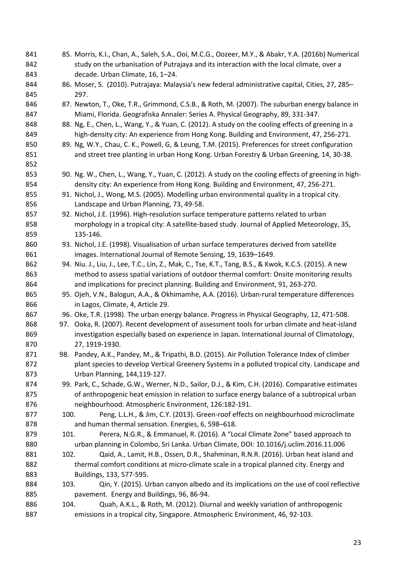| 841 |      | 85. Morris, K.I., Chan, A., Saleh, S.A., Ooi, M.C.G., Oozeer, M.Y., & Abakr, Y.A. (2016b) Numerical    |
|-----|------|--------------------------------------------------------------------------------------------------------|
| 842 |      | study on the urbanisation of Putrajaya and its interaction with the local climate, over a              |
| 843 |      | decade. Urban Climate, 16, 1-24.                                                                       |
| 844 |      | 86. Moser, S. (2010). Putrajaya: Malaysia's new federal administrative capital, Cities, 27, 285-       |
| 845 |      | 297.                                                                                                   |
| 846 |      | 87. Newton, T., Oke, T.R., Grimmond, C.S.B., & Roth, M. (2007). The suburban energy balance in         |
| 847 |      | Miami, Florida. Geografiska Annaler: Series A. Physical Geography, 89, 331-347.                        |
| 848 |      | 88. Ng, E., Chen, L., Wang, Y., & Yuan, C. (2012). A study on the cooling effects of greening in a     |
| 849 |      | high-density city: An experience from Hong Kong. Building and Environment, 47, 256-271.                |
| 850 |      | 89. Ng, W.Y., Chau, C. K., Powell, G, & Leung, T.M. (2015). Preferences for street configuration       |
| 851 |      | and street tree planting in urban Hong Kong. Urban Forestry & Urban Greening, 14, 30-38.               |
| 852 |      |                                                                                                        |
| 853 |      | 90. Ng. W., Chen, L., Wang, Y., Yuan, C. (2012). A study on the cooling effects of greening in high-   |
| 854 |      | density city: An experience from Hong Kong. Building and Environment, 47, 256-271.                     |
| 855 |      |                                                                                                        |
|     |      | 91. Nichol, J., Wong, M.S. (2005). Modelling urban environmental quality in a tropical city.           |
| 856 |      | Landscape and Urban Planning, 73, 49-58.                                                               |
| 857 |      | 92. Nichol, J.E. (1996). High-resolution surface temperature patterns related to urban                 |
| 858 |      | morphology in a tropical city: A satellite-based study. Journal of Applied Meteorology, 35,            |
| 859 |      | 135-146.                                                                                               |
| 860 |      | 93. Nichol, J.E. (1998). Visualisation of urban surface temperatures derived from satellite            |
| 861 |      | images. International Journal of Remote Sensing, 19, 1639-1649.                                        |
| 862 |      | 94. Niu. J., Liu, J., Lee, T.C., Lin, Z., Mak, C., Tse, K.T., Tang, B.S., & Kwok, K.C.S. (2015). A new |
| 863 |      | method to assess spatial variations of outdoor thermal comfort: Onsite monitoring results              |
| 864 |      | and implications for precinct planning. Building and Environment, 91, 263-270.                         |
| 865 |      | 95. Ojeh, V.N., Balogun, A.A., & Okhimamhe, A.A. (2016). Urban-rural temperature differences           |
| 866 |      | in Lagos, Climate, 4, Article 29.                                                                      |
| 867 |      | 96. Oke, T.R. (1998). The urban energy balance. Progress in Physical Geography, 12, 471-508.           |
| 868 |      | 97. Ooka, R. (2007). Recent development of assessment tools for urban climate and heat-island          |
| 869 |      | investigation especially based on experience in Japan. International Journal of Climatology,           |
| 870 |      | 27, 1919-1930.                                                                                         |
| 871 |      | 98. Pandey, A.K., Pandey, M., & Tripathi, B.D. (2015). Air Pollution Tolerance Index of climber        |
| 872 |      | plant species to develop Vertical Greenery Systems in a polluted tropical city. Landscape and          |
| 873 |      | Urban Planning, 144, 119-127.                                                                          |
| 874 |      | 99. Park, C., Schade, G.W., Werner, N.D., Sailor, D.J., & Kim, C.H. (2016). Comparative estimates      |
| 875 |      | of anthropogenic heat emission in relation to surface energy balance of a subtropical urban            |
| 876 |      | neighbourhood. Atmospheric Environment, 126:182-191.                                                   |
| 877 | 100. | Peng, L.L.H., & Jim, C.Y. (2013). Green-roof effects on neighbourhood microclimate                     |
| 878 |      | and human thermal sensation. Energies, 6, 598-618.                                                     |
| 879 | 101. | Perera, N.G.R., & Emmanuel, R. (2016). A "Local Climate Zone" based approach to                        |
| 880 |      | urban planning in Colombo, Sri Lanka. Urban Climate, DOI: 10.1016/j.uclim.2016.11.006                  |
| 881 | 102. | Qaid, A., Lamit, H.B., Ossen, D.R., Shahminan, R.N.R. (2016). Urban heat island and                    |
| 882 |      | thermal comfort conditions at micro-climate scale in a tropical planned city. Energy and               |
| 883 |      | Buildings, 133, 577-595.                                                                               |
| 884 | 103. | Qin, Y. (2015). Urban canyon albedo and its implications on the use of cool reflective                 |
| 885 |      | pavement. Energy and Buildings, 96, 86-94.                                                             |
| 886 | 104. | Quah, A.K.L., & Roth, M. (2012). Diurnal and weekly variation of anthropogenic                         |
| 887 |      | emissions in a tropical city, Singapore. Atmospheric Environment, 46, 92-103.                          |
|     |      |                                                                                                        |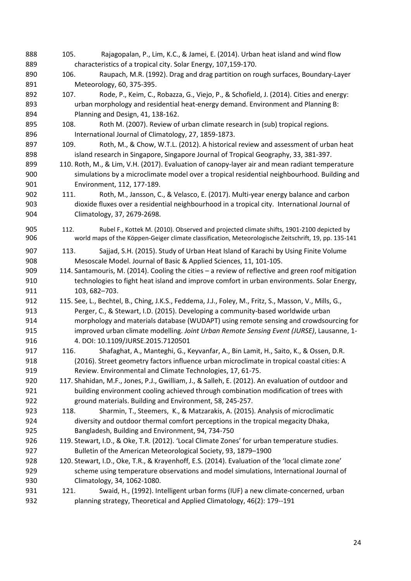105. Rajagopalan, P., Lim, K.C., & Jamei, E. (2014). Urban heat island and wind flow characteristics of a tropical city. Solar Energy, 107,159-170. 106. Raupach, M.R. (1992). Drag and drag partition on rough surfaces, Boundary-Layer Meteorology, 60, 375-395. 107. Rode, P., Keim, C., Robazza, G., Viejo, P., & Schofield, J. (2014). Cities and energy: urban morphology and residential heat-energy demand. Environment and Planning B: Planning and Design, 41, 138-162. 895 108. Roth M. (2007). Review of urban climate research in (sub) tropical regions. 896 International Journal of Climatology, 27, 1859-1873. 897 109. Roth, M., & Chow, W.T.L. (2012). A historical review and assessment of urban heat island research in Singapore, Singapore Journal of Tropical Geography, 33, 381-397. 110. Roth, M., & Lim, V.H. (2017). Evaluation of canopy-layer air and mean radiant temperature simulations by a microclimate model over a tropical residential neighbourhood. Building and Environment, 112, 177-189. 111. Roth, M., Jansson, C., & Velasco, E. (2017). Multi-year energy balance and carbon dioxide fluxes over a residential neighbourhood in a tropical city. International Journal of Climatology, 37, 2679-2698. 112. Rubel F., Kottek M. (2010). Observed and projected climate shifts, 1901-2100 depicted by 906 world maps of the Köppen-Geiger climate classification, Meteorologische Zeitschrift, 19, pp. 135-141 113. Sajjad, S.H. (2015). Study of Urban Heat Island of Karachi by Using Finite Volume Mesoscale Model. Journal of Basic & Applied Sciences, 11, 101-105. 909 114. Santamouris, M. (2014). Cooling the cities – a review of reflective and green roof mitigation technologies to fight heat island and improve comfort in urban environments. Solar Energy, 911 103, 682-703. 115. See, L., Bechtel, B., Ching, J.K.S., Feddema, J.J., Foley, M., Fritz, S., Masson, V., Mills, G., Perger, C., & Stewart, I.D. (2015). Developing a community-based worldwide urban morphology and materials database (WUDAPT) using remote sensing and crowdsourcing for improved urban climate modelling. *Joint Urban Remote Sensing Event (JURSE)*, Lausanne, 1- 4. DOI: 10.1109/JURSE.2015.7120501 116. Shafaghat, A., Manteghi, G., Keyvanfar, A., Bin Lamit, H., Saito, K., & Ossen, D.R. (2016). Street geometry factors influence urban microclimate in tropical coastal cities: A Review. Environmental and Climate Technologies, 17, 61-75. 117. Shahidan, M.F., Jones, P.J., Gwilliam, J., & Salleh, E. (2012). An evaluation of outdoor and building environment cooling achieved through combination modification of trees with ground materials. Building and Environment, 58, 245-257. 118. Sharmin, T., Steemers, K., & Matzarakis, A. (2015). Analysis of microclimatic diversity and outdoor thermal comfort perceptions in the tropical megacity Dhaka, Bangladesh, Building and Environment, 94, 734-750 926 119. Stewart, I.D., & Oke, T.R. (2012). 'Local Climate Zones' for urban temperature studies. 927 Bulletin of the American Meteorological Society, 93, 1879–1900 928 120. Stewart, I.D., Oke, T.R., & Krayenhoff, E.S. (2014). Evaluation of the 'local climate zone' scheme using temperature observations and model simulations, International Journal of Climatology, 34, 1062-1080. 931 121. Swaid, H., (1992). Intelligent urban forms (IUF) a new climate-concerned, urban planning strategy, Theoretical and Applied Climatology, 46(2): 179--191